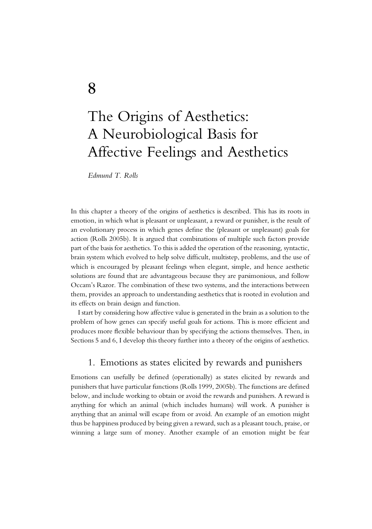# The Origins of Aesthetics: A Neurobiological Basis for Affective Feelings and Aesthetics

Edmund T. Rolls

In this chapter a theory of the origins of aesthetics is described. This has its roots in emotion, in which what is pleasant or unpleasant, a reward or punisher, is the result of an evolutionary process in which genes define the (pleasant or unpleasant) goals for action (Rolls 2005b). It is argued that combinations of multiple such factors provide part of the basis for aesthetics. To this is added the operation of the reasoning, syntactic, brain system which evolved to help solve difficult, multistep, problems, and the use of which is encouraged by pleasant feelings when elegant, simple, and hence aesthetic solutions are found that are advantageous because they are parsimonious, and follow Occam's Razor. The combination of these two systems, and the interactions between them, provides an approach to understanding aesthetics that is rooted in evolution and its effects on brain design and function.

I start by considering how affective value is generated in the brain as a solution to the problem of how genes can specify useful goals for actions. This is more efficient and produces more flexible behaviour than by specifying the actions themselves. Then, in Sections 5 and 6, I develop this theory further into a theory of the origins of aesthetics.

# 1. Emotions as states elicited by rewards and punishers

Emotions can usefully be defined (operationally) as states elicited by rewards and punishers that have particular functions (Rolls 1999, 2005b). The functions are defined below, and include working to obtain or avoid the rewards and punishers. A reward is anything for which an animal (which includes humans) will work. A punisher is anything that an animal will escape from or avoid. An example of an emotion might thus be happiness produced by being given a reward, such as a pleasant touch, praise, or winning a large sum of money. Another example of an emotion might be fear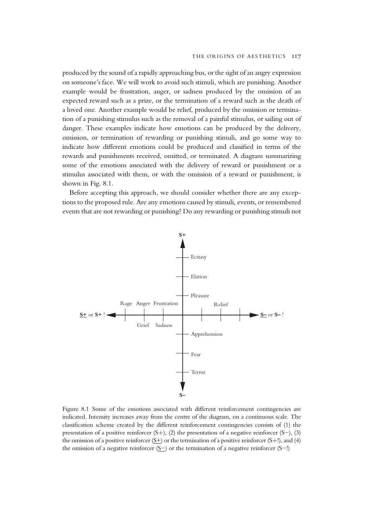produced by the sound of a rapidly approaching bus, or the sight of an angry expression on someone's face. We will work to avoid such stimuli, which are punishing. Another example would be frustration, anger, or sadness produced by the omission of an expected reward such as a prize, or the termination of a reward such as the death of a loved one. Another example would be relief, produced by the omission or termination of a punishing stimulus such as the removal of a painful stimulus, or sailing out of danger. These examples indicate how emotions can be produced by the delivery, omission, or termination of rewarding or punishing stimuli, and go some way to indicate how different emotions could be produced and classified in terms of the rewards and punishments received, omitted, or terminated. A diagram summarizing some of the emotions associated with the delivery of reward or punishment or a stimulus associated with them, or with the omission of a reward or punishment, is shown in Fig. 8.1.

Before accepting this approach, we should consider whether there are any exceptions to the proposed rule. Are any emotions caused by stimuli, events, or remembered events that are not rewarding or punishing? Do any rewarding or punishing stimuli not



Figure 8.1 Some of the emotions associated with different reinforcement contingencies are indicated. Intensity increases away from the centre of the diagram, on a continuous scale. The classification scheme created by the different reinforcement contingencies consists of (1) the presentation of a positive reinforcer  $(S+)$ , (2) the presentation of a negative reinforcer  $(S<sup>−</sup>)$ , (3) the omission of a positive reinforcer  $(S+)$  or the termination of a positive reinforcer  $(S+!)$ , and (4) the omission of a negative reinforcer (S−) or the termination of a negative reinforcer (S−!)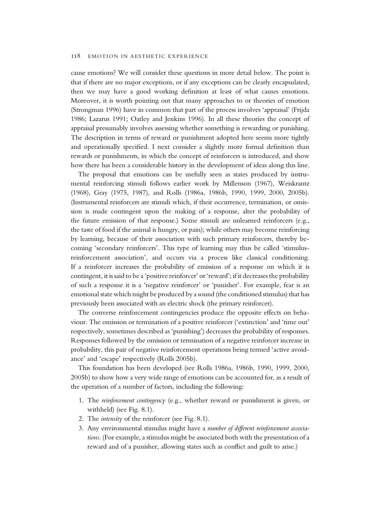cause emotions? We will consider these questions in more detail below. The point is that if there are no major exceptions, or if any exceptions can be clearly encapsulated, then we may have a good working definition at least of what causes emotions. Moreover, it is worth pointing out that many approaches to or theories of emotion (Strongman 1996) have in common that part of the process involves 'appraisal' (Frijda 1986; Lazarus 1991; Oatley and Jenkins 1996). In all these theories the concept of appraisal presumably involves assessing whether something is rewarding or punishing. The description in terms of reward or punishment adopted here seems more tightly and operationally specified. I next consider a slightly more formal definition than rewards or punishments, in which the concept of reinforcers is introduced, and show how there has been a considerable history in the development of ideas along this line.

The proposal that emotions can be usefully seen as states produced by instrumental reinforcing stimuli follows earlier work by Millenson (1967), Weiskrantz (1968), Gray (1975, 1987), and Rolls (1986a, 1986b, 1990, 1999, 2000, 2005b). (Instrumental reinforcers are stimuli which, if their occurrence, termination, or omission is made contingent upon the making of a response, alter the probability of the future emission of that response.) Some stimuli are unlearned reinforcers (e.g., the taste of food if the animal is hungry, or pain); while others may become reinforcing by learning, because of their association with such primary reinforcers, thereby becoming 'secondary reinforcers'. This type of learning may thus be called 'stimulusreinforcement association', and occurs via a process like classical conditioning. If a reinforcer increases the probability of emission of a response on which it is contingent, it is said to be a'positive reinforcer' or 'reward'; if it decreases the probability of such a response it is a 'negative reinforcer' or 'punisher'. For example, fear is an emotional state which might be produced by a sound (the conditioned stimulus) that has previously been associated with an electric shock (the primary reinforcer).

The converse reinforcement contingencies produce the opposite effects on behaviour. The omission or termination of a positive reinforcer ('extinction' and 'time out' respectively, sometimes described as 'punishing') decreases the probability of responses. Responses followed by the omission or termination of a negative reinforcer increase in probability, this pair of negative reinforcement operations being termed 'active avoidance' and 'escape' respectively (Rolls 2005b).

This foundation has been developed (see Rolls 1986a, 1986b, 1990, 1999, 2000, 2005b) to show how a very wide range of emotions can be accounted for, as a result of the operation of a number of factors, including the following:

- 1. The reinforcement contingency (e.g., whether reward or punishment is given, or withheld) (see Fig. 8.1).
- 2. The intensity of the reinforcer (see Fig. 8.1).
- 3. Any environmental stimulus might have a number of different reinforcement associations. (For example, a stimulus might be associated both with the presentation of a reward and of a punisher, allowing states such as conflict and guilt to arise.)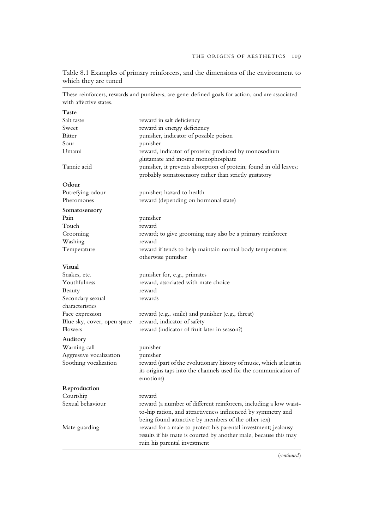Table 8.1 Examples of primary reinforcers, and the dimensions of the environment to which they are tuned

These reinforcers, rewards and punishers, are gene-defined goals for action, and are associated with affective states.

| Taste                       |                                                                                                                            |
|-----------------------------|----------------------------------------------------------------------------------------------------------------------------|
| Salt taste                  | reward in salt deficiency                                                                                                  |
| Sweet                       | reward in energy deficiency                                                                                                |
| Bitter                      | punisher, indicator of possible poison                                                                                     |
| Sour                        | punisher                                                                                                                   |
| Umami                       | reward, indicator of protein; produced by monosodium                                                                       |
|                             | glutamate and inosine monophosphate                                                                                        |
| Tannic acid                 | punisher, it prevents absorption of protein; found in old leaves;<br>probably somatosensory rather than strictly gustatory |
| Odour                       |                                                                                                                            |
| Putrefying odour            | punisher; hazard to health                                                                                                 |
| Pheromones                  | reward (depending on hormonal state)                                                                                       |
| Somatosensory               |                                                                                                                            |
| Pain                        | punisher                                                                                                                   |
| Touch                       | reward                                                                                                                     |
| Grooming                    | reward; to give grooming may also be a primary reinforcer                                                                  |
| Washing                     | reward                                                                                                                     |
| Temperature                 | reward if tends to help maintain normal body temperature;                                                                  |
|                             | otherwise punisher                                                                                                         |
| Visual                      |                                                                                                                            |
| Snakes, etc.                | punisher for, e.g., primates                                                                                               |
| Youthfulness                | reward, associated with mate choice                                                                                        |
| Beauty                      | reward                                                                                                                     |
| Secondary sexual            | rewards                                                                                                                    |
| characteristics             |                                                                                                                            |
| Face expression             | reward (e.g., smile) and punisher (e.g., threat)                                                                           |
| Blue sky, cover, open space | reward, indicator of safety                                                                                                |
| Flowers                     | reward (indicator of fruit later in season?)                                                                               |
| Auditory                    |                                                                                                                            |
| Warning call                | punisher                                                                                                                   |
| Aggressive vocalization     | punisher                                                                                                                   |
| Soothing vocalization       | reward (part of the evolutionary history of music, which at least in                                                       |
|                             | its origins taps into the channels used for the communication of                                                           |
|                             | emotions)                                                                                                                  |
| Reproduction                |                                                                                                                            |
| Courtship                   | reward                                                                                                                     |
| Sexual behaviour            | reward (a number of different reinforcers, including a low waist-                                                          |
|                             | to-hip ration, and attractiveness influenced by symmetry and                                                               |
|                             | being found attractive by members of the other sex)                                                                        |
| Mate guarding               | reward for a male to protect his parental investment; jealousy                                                             |
|                             | results if his mate is courted by another male, because this may                                                           |
|                             | ruin his parental investment                                                                                               |
|                             |                                                                                                                            |

(continued)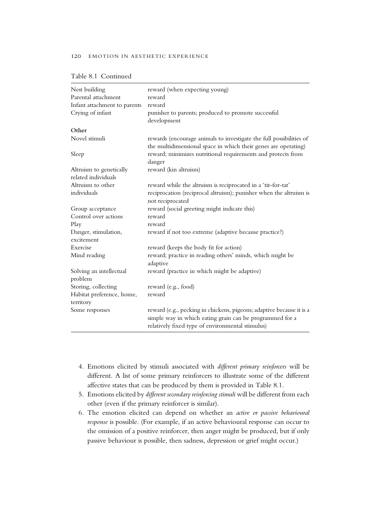| Table 8.1 Continued |
|---------------------|
|                     |

| Nest building                                  | reward (when expecting young)                                                                                                                                                        |
|------------------------------------------------|--------------------------------------------------------------------------------------------------------------------------------------------------------------------------------------|
| Parental attachment                            | reward                                                                                                                                                                               |
| Infant attachment to parents                   | reward                                                                                                                                                                               |
| Crying of infant                               | punisher to parents; produced to promote successful<br>development                                                                                                                   |
| Other                                          |                                                                                                                                                                                      |
| Novel stimuli                                  | rewards (encourage animals to investigate the full possibilities of<br>the multidimensional space in which their genes are operating)                                                |
| Sleep                                          | reward; minimizes nutritional requirements and protects from<br>danger                                                                                                               |
| Altruism to genetically<br>related individuals | reward (kin altruism)                                                                                                                                                                |
| Altruism to other<br>individuals               | reward while the altruism is reciprocated in a 'tit-for-tat'<br>reciprocation (reciprocal altruism); punisher when the altruism is<br>not reciprocated                               |
| Group acceptance                               | reward (social greeting might indicate this)                                                                                                                                         |
| Control over actions                           | reward                                                                                                                                                                               |
| Play                                           | reward                                                                                                                                                                               |
| Danger, stimulation,<br>excitement             | reward if not too extreme (adaptive because practice?)                                                                                                                               |
| Exercise                                       | reward (keeps the body fit for action)                                                                                                                                               |
| Mind reading                                   | reward; practice in reading others' minds, which might be<br>adaptive                                                                                                                |
| Solving an intellectual<br>problem             | reward (practice in which might be adaptive)                                                                                                                                         |
| Storing, collecting                            | reward (e.g., food)                                                                                                                                                                  |
| Habitat preference, home,<br>territory         | reward                                                                                                                                                                               |
| Some responses                                 | reward (e.g., pecking in chickens, pigeons; adaptive because it is a<br>simple way in which eating grain can be programmed for a<br>relatively fixed type of environmental stimulus) |

- 4. Emotions elicited by stimuli associated with different primary reinforcers will be different. A list of some primary reinforcers to illustrate some of the different affective states that can be produced by them is provided in Table 8.1.
- 5. Emotions elicited by different secondary reinforcing stimuli will be different from each other (even if the primary reinforcer is similar).
- 6. The emotion elicited can depend on whether an active or passive behavioural response is possible. (For example, if an active behavioural response can occur to the omission of a positive reinforcer, then anger might be produced, but if only passive behaviour is possible, then sadness, depression or grief might occur.)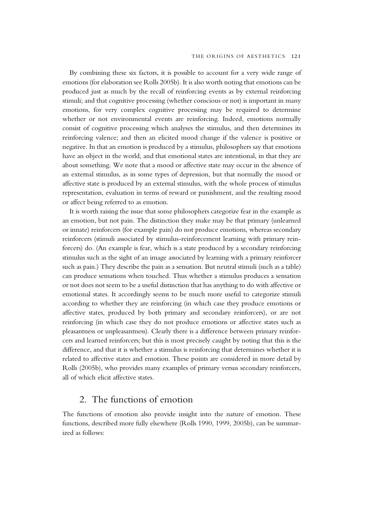By combining these six factors, it is possible to account for a very wide range of emotions (for elaboration see Rolls 2005b). It is also worth noting that emotions can be produced just as much by the recall of reinforcing events as by external reinforcing stimuli; and that cognitive processing (whether conscious or not) is important in many emotions, for very complex cognitive processing may be required to determine whether or not environmental events are reinforcing. Indeed, emotions normally consist of cognitive processing which analyses the stimulus, and then determines its reinforcing valence; and then an elicited mood change if the valence is positive or negative. In that an emotion is produced by a stimulus, philosophers say that emotions have an object in the world, and that emotional states are intentional, in that they are about something. We note that a mood or affective state may occur in the absence of an external stimulus, as in some types of depression, but that normally the mood or affective state is produced by an external stimulus, with the whole process of stimulus representation, evaluation in terms of reward or punishment, and the resulting mood or affect being referred to as emotion.

It is worth raising the issue that some philosophers categorize fear in the example as an emotion, but not pain. The distinction they make may be that primary (unlearned or innate) reinforcers (for example pain) do not produce emotions, whereas secondary reinforcers (stimuli associated by stimulus-reinforcement learning with primary reinforcers) do. (An example is fear, which is a state produced by a secondary reinforcing stimulus such as the sight of an image associated by learning with a primary reinforcer such as pain.) They describe the pain as a sensation. But neutral stimuli (such as a table) can produce sensations when touched. Thus whether a stimulus produces a sensation or not does not seem to be a useful distinction that has anything to do with affective or emotional states. It accordingly seems to be much more useful to categorize stimuli according to whether they are reinforcing (in which case they produce emotions or affective states, produced by both primary and secondary reinforcers), or are not reinforcing (in which case they do not produce emotions or affective states such as pleasantness or unpleasantness). Clearly there is a difference between primary reinforcers and learned reinforcers; but this is most precisely caught by noting that this is the difference, and that it is whether a stimulus is reinforcing that determines whether it is related to affective states and emotion. These points are considered in more detail by Rolls (2005b), who provides many examples of primary versus secondary reinforcers, all of which elicit affective states.

# 2. The functions of emotion

The functions of emotion also provide insight into the nature of emotion. These functions, described more fully elsewhere (Rolls 1990, 1999, 2005b), can be summarized as follows: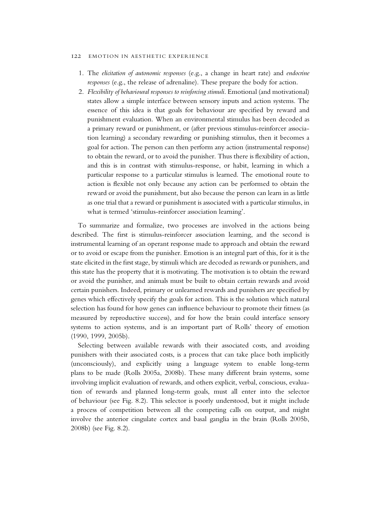- 1. The elicitation of autonomic responses (e.g., a change in heart rate) and endocrine responses (e.g., the release of adrenaline). These prepare the body for action.
- 2. Flexibility of behavioural responses to reinforcing stimuli. Emotional (and motivational) states allow a simple interface between sensory inputs and action systems. The essence of this idea is that goals for behaviour are specified by reward and punishment evaluation. When an environmental stimulus has been decoded as a primary reward or punishment, or (after previous stimulus-reinforcer association learning) a secondary rewarding or punishing stimulus, then it becomes a goal for action. The person can then perform any action (instrumental response) to obtain the reward, or to avoid the punisher. Thus there is flexibility of action, and this is in contrast with stimulus-response, or habit, learning in which a particular response to a particular stimulus is learned. The emotional route to action is flexible not only because any action can be performed to obtain the reward or avoid the punishment, but also because the person can learn in as little as one trial that a reward or punishment is associated with a particular stimulus, in what is termed 'stimulus-reinforcer association learning'.

To summarize and formalize, two processes are involved in the actions being described. The first is stimulus-reinforcer association learning, and the second is instrumental learning of an operant response made to approach and obtain the reward or to avoid or escape from the punisher. Emotion is an integral part of this, for it is the state elicited in the first stage, by stimuli which are decoded as rewards or punishers, and this state has the property that it is motivating. The motivation is to obtain the reward or avoid the punisher, and animals must be built to obtain certain rewards and avoid certain punishers. Indeed, primary or unlearned rewards and punishers are specified by genes which effectively specify the goals for action. This is the solution which natural selection has found for how genes can influence behaviour to promote their fitness (as measured by reproductive success), and for how the brain could interface sensory systems to action systems, and is an important part of Rolls' theory of emotion (1990, 1999, 2005b).

Selecting between available rewards with their associated costs, and avoiding punishers with their associated costs, is a process that can take place both implicitly (unconsciously), and explicitly using a language system to enable long-term plans to be made (Rolls 2005a, 2008b). These many different brain systems, some involving implicit evaluation of rewards, and others explicit, verbal, conscious, evaluation of rewards and planned long-term goals, must all enter into the selector of behaviour (see Fig. 8.2). This selector is poorly understood, but it might include a process of competition between all the competing calls on output, and might involve the anterior cingulate cortex and basal ganglia in the brain (Rolls 2005b, 2008b) (see Fig. 8.2).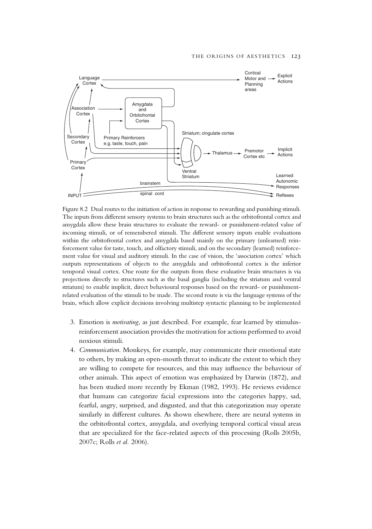

Figure 8.2 Dual routes to the initiation of action in response to rewarding and punishing stimuli. The inputs from different sensory systems to brain structures such as the orbitofrontal cortex and amygdala allow these brain structures to evaluate the reward- or punishment-related value of incoming stimuli, or of remembered stimuli. The different sensory inputs enable evaluations within the orbitofrontal cortex and amygdala based mainly on the primary (unlearned) reinforcement value for taste, touch, and olfactory stimuli, and on the secondary (learned) reinforcement value for visual and auditory stimuli. In the case of vision, the 'association cortex' which outputs representations of objects to the amygdala and orbitofrontal cortex is the inferior temporal visual cortex. One route for the outputs from these evaluative brain structures is via projections directly to structures such as the basal ganglia (including the striatum and ventral striatum) to enable implicit, direct behavioural responses based on the reward- or punishmentrelated evaluation of the stimuli to be made. The second route is via the language systems of the brain, which allow explicit decisions involving multistep syntactic planning to be implemented

- 3. Emotion is motivating, as just described. For example, fear learned by stimulusreinforcement association provides the motivation for actions performed to avoid noxious stimuli.
- 4. Communication. Monkeys, for example, may communicate their emotional state to others, by making an open-mouth threat to indicate the extent to which they are willing to compete for resources, and this may influence the behaviour of other animals. This aspect of emotion was emphasized by Darwin (1872), and has been studied more recently by Ekman (1982, 1993). He reviews evidence that humans can categorize facial expressions into the categories happy, sad, fearful, angry, surprised, and disgusted, and that this categorization may operate similarly in different cultures. As shown elsewhere, there are neural systems in the orbitofrontal cortex, amygdala, and overlying temporal cortical visual areas that are specialized for the face-related aspects of this processing (Rolls 2005b, 2007c; Rolls et al. 2006).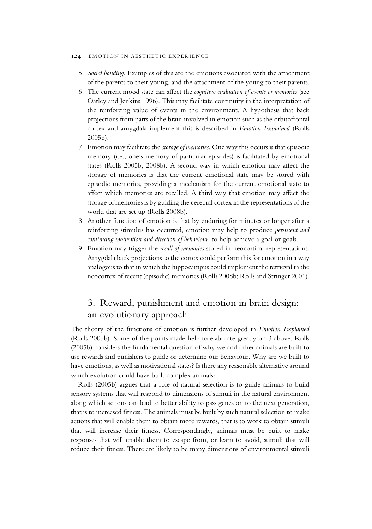- 5. Social bonding. Examples of this are the emotions associated with the attachment of the parents to their young, and the attachment of the young to their parents.
- 6. The current mood state can affect the cognitive evaluation of events or memories (see Oatley and Jenkins 1996). This may facilitate continuity in the interpretation of the reinforcing value of events in the environment. A hypothesis that back projections from parts of the brain involved in emotion such as the orbitofrontal cortex and amygdala implement this is described in Emotion Explained (Rolls 2005b).
- 7. Emotion may facilitate the storage of memories. One way this occurs is that episodic memory (i.e., one's memory of particular episodes) is facilitated by emotional states (Rolls 2005b, 2008b). A second way in which emotion may affect the storage of memories is that the current emotional state may be stored with episodic memories, providing a mechanism for the current emotional state to affect which memories are recalled. A third way that emotion may affect the storage of memories is by guiding the cerebral cortex in the representations of the world that are set up (Rolls 2008b).
- 8. Another function of emotion is that by enduring for minutes or longer after a reinforcing stimulus has occurred, emotion may help to produce persistent and continuing motivation and direction of behaviour, to help achieve a goal or goals.
- 9. Emotion may trigger the recall of memories stored in neocortical representations. Amygdala back projections to the cortex could perform this for emotion in a way analogous to that in which the hippocampus could implement the retrieval in the neocortex of recent (episodic) memories (Rolls 2008b; Rolls and Stringer 2001).

# 3. Reward, punishment and emotion in brain design: an evolutionary approach

The theory of the functions of emotion is further developed in Emotion Explained (Rolls 2005b). Some of the points made help to elaborate greatly on 3 above. Rolls (2005b) considers the fundamental question of why we and other animals are built to use rewards and punishers to guide or determine our behaviour. Why are we built to have emotions, as well as motivational states? Is there any reasonable alternative around which evolution could have built complex animals?

Rolls (2005b) argues that a role of natural selection is to guide animals to build sensory systems that will respond to dimensions of stimuli in the natural environment along which actions can lead to better ability to pass genes on to the next generation, that is to increased fitness. The animals must be built by such natural selection to make actions that will enable them to obtain more rewards, that is to work to obtain stimuli that will increase their fitness. Correspondingly, animals must be built to make responses that will enable them to escape from, or learn to avoid, stimuli that will reduce their fitness. There are likely to be many dimensions of environmental stimuli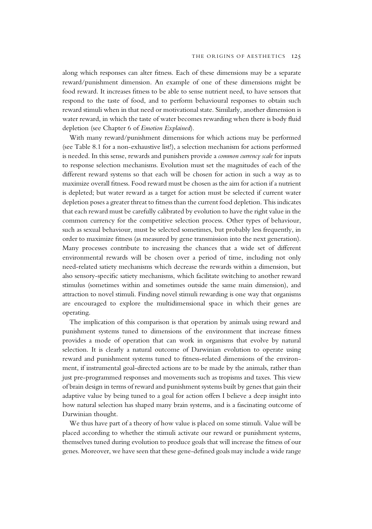along which responses can alter fitness. Each of these dimensions may be a separate reward/punishment dimension. An example of one of these dimensions might be food reward. It increases fitness to be able to sense nutrient need, to have sensors that respond to the taste of food, and to perform behavioural responses to obtain such reward stimuli when in that need or motivational state. Similarly, another dimension is water reward, in which the taste of water becomes rewarding when there is body fluid depletion (see Chapter 6 of Emotion Explained).

With many reward/punishment dimensions for which actions may be performed (see Table 8.1 for a non-exhaustive list!), a selection mechanism for actions performed is needed. In this sense, rewards and punishers provide a common currency scale for inputs to response selection mechanisms. Evolution must set the magnitudes of each of the different reward systems so that each will be chosen for action in such a way as to maximize overall fitness. Food reward must be chosen as the aim for action if a nutrient is depleted; but water reward as a target for action must be selected if current water depletion poses a greater threat to fitness than the current food depletion. This indicates that each reward must be carefully calibrated by evolution to have the right value in the common currency for the competitive selection process. Other types of behaviour, such as sexual behaviour, must be selected sometimes, but probably less frequently, in order to maximize fitness (as measured by gene transmission into the next generation). Many processes contribute to increasing the chances that a wide set of different environmental rewards will be chosen over a period of time, including not only need-related satiety mechanisms which decrease the rewards within a dimension, but also sensory-specific satiety mechanisms, which facilitate switching to another reward stimulus (sometimes within and sometimes outside the same main dimension), and attraction to novel stimuli. Finding novel stimuli rewarding is one way that organisms are encouraged to explore the multidimensional space in which their genes are operating.

The implication of this comparison is that operation by animals using reward and punishment systems tuned to dimensions of the environment that increase fitness provides a mode of operation that can work in organisms that evolve by natural selection. It is clearly a natural outcome of Darwinian evolution to operate using reward and punishment systems tuned to fitness-related dimensions of the environment, if instrumental goal-directed actions are to be made by the animals, rather than just pre-programmed responses and movements such as tropisms and taxes. This view of brain design in terms of reward and punishment systems built by genes that gain their adaptive value by being tuned to a goal for action offers I believe a deep insight into how natural selection has shaped many brain systems, and is a fascinating outcome of Darwinian thought.

We thus have part of a theory of how value is placed on some stimuli. Value will be placed according to whether the stimuli activate our reward or punishment systems, themselves tuned during evolution to produce goals that will increase the fitness of our genes. Moreover, we have seen that these gene-defined goals may include a wide range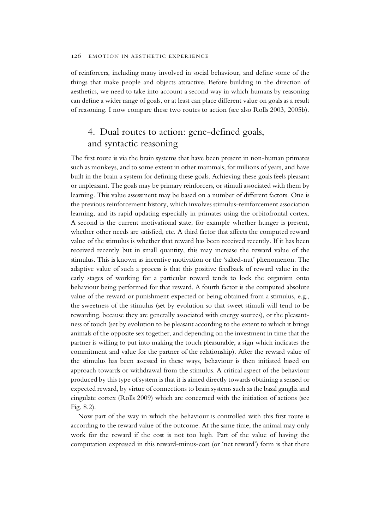of reinforcers, including many involved in social behaviour, and define some of the things that make people and objects attractive. Before building in the direction of aesthetics, we need to take into account a second way in which humans by reasoning can define a wider range of goals, or at least can place different value on goals as a result of reasoning. I now compare these two routes to action (see also Rolls 2003, 2005b).

# 4. Dual routes to action: gene-defined goals, and syntactic reasoning

The first route is via the brain systems that have been present in non-human primates such as monkeys, and to some extent in other mammals, for millions of years, and have built in the brain a system for defining these goals. Achieving these goals feels pleasant or unpleasant. The goals may be primary reinforcers, or stimuli associated with them by learning. This value assessment may be based on a number of different factors. One is the previous reinforcement history, which involves stimulus-reinforcement association learning, and its rapid updating especially in primates using the orbitofrontal cortex. A second is the current motivational state, for example whether hunger is present, whether other needs are satisfied, etc. A third factor that affects the computed reward value of the stimulus is whether that reward has been received recently. If it has been received recently but in small quantity, this may increase the reward value of the stimulus. This is known as incentive motivation or the 'salted-nut' phenomenon. The adaptive value of such a process is that this positive feedback of reward value in the early stages of working for a particular reward tends to lock the organism onto behaviour being performed for that reward. A fourth factor is the computed absolute value of the reward or punishment expected or being obtained from a stimulus, e.g., the sweetness of the stimulus (set by evolution so that sweet stimuli will tend to be rewarding, because they are generally associated with energy sources), or the pleasantness of touch (set by evolution to be pleasant according to the extent to which it brings animals of the opposite sex together, and depending on the investment in time that the partner is willing to put into making the touch pleasurable, a sign which indicates the commitment and value for the partner of the relationship). After the reward value of the stimulus has been assessed in these ways, behaviour is then initiated based on approach towards or withdrawal from the stimulus. A critical aspect of the behaviour produced by this type of system is that it is aimed directly towards obtaining a sensed or expected reward, by virtue of connections to brain systems such as the basal ganglia and cingulate cortex (Rolls 2009) which are concerned with the initiation of actions (see Fig. 8.2).

Now part of the way in which the behaviour is controlled with this first route is according to the reward value of the outcome. At the same time, the animal may only work for the reward if the cost is not too high. Part of the value of having the computation expressed in this reward-minus-cost (or 'net reward') form is that there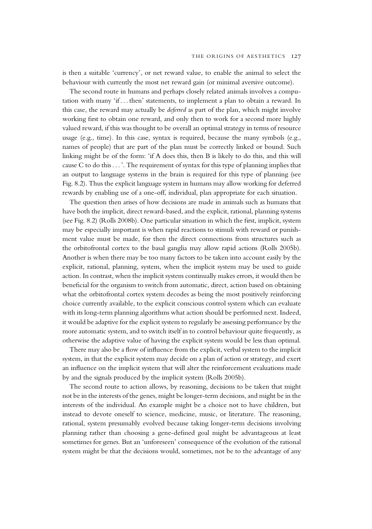is then a suitable 'currency', or net reward value, to enable the animal to select the behaviour with currently the most net reward gain (or minimal aversive outcome).

The second route in humans and perhaps closely related animals involves a computation with many 'if ... then' statements, to implement a plan to obtain a reward. In this case, the reward may actually be deferred as part of the plan, which might involve working first to obtain one reward, and only then to work for a second more highly valued reward, if this was thought to be overall an optimal strategy in terms of resource usage (e.g., time). In this case, syntax is required, because the many symbols (e.g., names of people) that are part of the plan must be correctly linked or bound. Such linking might be of the form: 'if A does this, then B is likely to do this, and this will cause C to do this . . . '. The requirement of syntax for this type of planning implies that an output to language systems in the brain is required for this type of planning (see Fig. 8.2). Thus the explicit language system in humans may allow working for deferred rewards by enabling use of a one-off, individual, plan appropriate for each situation.

The question then arises of how decisions are made in animals such as humans that have both the implicit, direct reward-based, and the explicit, rational, planning systems (see Fig. 8.2) (Rolls 2008b). One particular situation in which the first, implicit, system may be especially important is when rapid reactions to stimuli with reward or punishment value must be made, for then the direct connections from structures such as the orbitofrontal cortex to the basal ganglia may allow rapid actions (Rolls 2005b). Another is when there may be too many factors to be taken into account easily by the explicit, rational, planning, system, when the implicit system may be used to guide action. In contrast, when the implicit system continually makes errors, it would then be beneficial for the organism to switch from automatic, direct, action based on obtaining what the orbitofrontal cortex system decodes as being the most positively reinforcing choice currently available, to the explicit conscious control system which can evaluate with its long-term planning algorithms what action should be performed next. Indeed, it would be adaptive for the explicit system to regularly be assessing performance by the more automatic system, and to switch itself in to control behaviour quite frequently, as otherwise the adaptive value of having the explicit system would be less than optimal.

There may also be a flow of influence from the explicit, verbal system to the implicit system, in that the explicit system may decide on a plan of action or strategy, and exert an influence on the implicit system that will alter the reinforcement evaluations made by and the signals produced by the implicit system (Rolls 2005b).

The second route to action allows, by reasoning, decisions to be taken that might not be in the interests of the genes, might be longer-term decisions, and might be in the interests of the individual. An example might be a choice not to have children, but instead to devote oneself to science, medicine, music, or literature. The reasoning, rational, system presumably evolved because taking longer-term decisions involving planning rather than choosing a gene-defined goal might be advantageous at least sometimes for genes. But an 'unforeseen' consequence of the evolution of the rational system might be that the decisions would, sometimes, not be to the advantage of any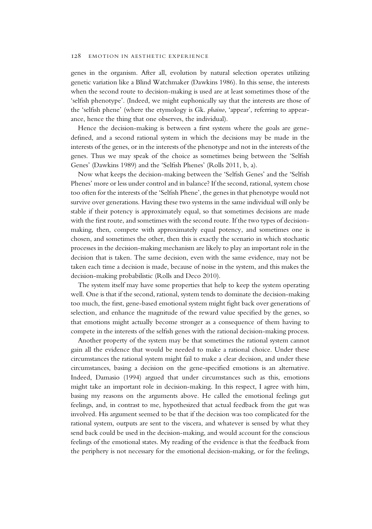genes in the organism. After all, evolution by natural selection operates utilizing genetic variation like a Blind Watchmaker (Dawkins 1986). In this sense, the interests when the second route to decision-making is used are at least sometimes those of the 'selfish phenotype'. (Indeed, we might euphonically say that the interests are those of the 'selfish phene' (where the etymology is Gk. phaino, 'appear', referring to appearance, hence the thing that one observes, the individual).

Hence the decision-making is between a first system where the goals are genedefined, and a second rational system in which the decisions may be made in the interests of the genes, or in the interests of the phenotype and not in the interests of the genes. Thus we may speak of the choice as sometimes being between the 'Selfish Genes' (Dawkins 1989) and the 'Selfish Phenes' (Rolls 2011, b, a).

Now what keeps the decision-making between the 'Selfish Genes' and the 'Selfish Phenes' more or less under control and in balance? If the second, rational, system chose too often for the interests of the 'Selfish Phene', the genes in that phenotype would not survive over generations. Having these two systems in the same individual will only be stable if their potency is approximately equal, so that sometimes decisions are made with the first route, and sometimes with the second route. If the two types of decisionmaking, then, compete with approximately equal potency, and sometimes one is chosen, and sometimes the other, then this is exactly the scenario in which stochastic processes in the decision-making mechanism are likely to play an important role in the decision that is taken. The same decision, even with the same evidence, may not be taken each time a decision is made, because of noise in the system, and this makes the decision-making probabilistic (Rolls and Deco 2010).

The system itself may have some properties that help to keep the system operating well. One is that if the second, rational, system tends to dominate the decision-making too much, the first, gene-based emotional system might fight back over generations of selection, and enhance the magnitude of the reward value specified by the genes, so that emotions might actually become stronger as a consequence of them having to compete in the interests of the selfish genes with the rational decision-making process.

Another property of the system may be that sometimes the rational system cannot gain all the evidence that would be needed to make a rational choice. Under these circumstances the rational system might fail to make a clear decision, and under these circumstances, basing a decision on the gene-specified emotions is an alternative. Indeed, Damasio (1994) argued that under circumstances such as this, emotions might take an important role in decision-making. In this respect, I agree with him, basing my reasons on the arguments above. He called the emotional feelings gut feelings, and, in contrast to me, hypothesized that actual feedback from the gut was involved. His argument seemed to be that if the decision was too complicated for the rational system, outputs are sent to the viscera, and whatever is sensed by what they send back could be used in the decision-making, and would account for the conscious feelings of the emotional states. My reading of the evidence is that the feedback from the periphery is not necessary for the emotional decision-making, or for the feelings,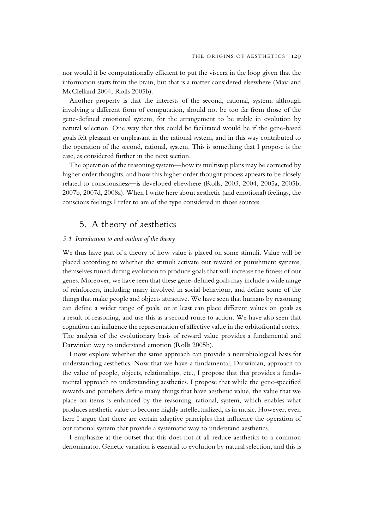nor would it be computationally efficient to put the viscera in the loop given that the information starts from the brain, but that is a matter considered elsewhere (Maia and McClelland 2004; Rolls 2005b).

Another property is that the interests of the second, rational, system, although involving a different form of computation, should not be too far from those of the gene-defined emotional system, for the arrangement to be stable in evolution by natural selection. One way that this could be facilitated would be if the gene-based goals felt pleasant or unpleasant in the rational system, and in this way contributed to the operation of the second, rational, system. This is something that I propose is the case, as considered further in the next section.

The operation of the reasoning system—how its multistep plans may be corrected by higher order thoughts, and how this higher order thought process appears to be closely related to consciousness—is developed elsewhere (Rolls, 2003, 2004, 2005a, 2005b, 2007b, 2007d, 2008a). When I write here about aesthetic (and emotional) feelings, the conscious feelings I refer to are of the type considered in those sources.

# 5. A theory of aesthetics

## 5.1 Introduction to and outline of the theory

We thus have part of a theory of how value is placed on some stimuli. Value will be placed according to whether the stimuli activate our reward or punishment systems, themselves tuned during evolution to produce goals that will increase the fitness of our genes. Moreover, we have seen that these gene-defined goals may include a wide range of reinforcers, including many involved in social behaviour, and define some of the things that make people and objects attractive. We have seen that humans by reasoning can define a wider range of goals, or at least can place different values on goals as a result of reasoning, and use this as a second route to action. We have also seen that cognition can influence the representation of affective value in the orbitofrontal cortex. The analysis of the evolutionary basis of reward value provides a fundamental and Darwinian way to understand emotion (Rolls 2005b).

I now explore whether the same approach can provide a neurobiological basis for understanding aesthetics. Now that we have a fundamental, Darwinian, approach to the value of people, objects, relationships, etc., I propose that this provides a fundamental approach to understanding aesthetics. I propose that while the gene-specified rewards and punishers define many things that have aesthetic value, the value that we place on items is enhanced by the reasoning, rational, system, which enables what produces aesthetic value to become highly intellectualized, as in music. However, even here I argue that there are certain adaptive principles that influence the operation of our rational system that provide a systematic way to understand aesthetics.

I emphasize at the outset that this does not at all reduce aesthetics to a common denominator. Genetic variation is essential to evolution by natural selection, and this is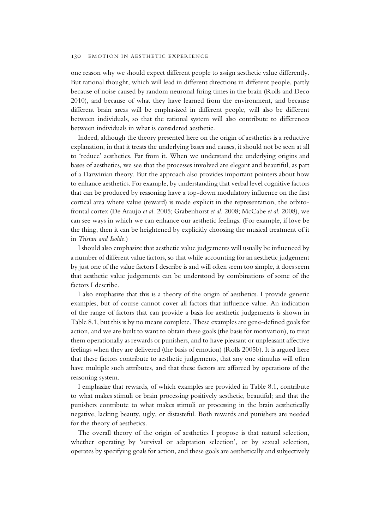one reason why we should expect different people to assign aesthetic value differently. But rational thought, which will lead in different directions in different people, partly because of noise caused by random neuronal firing times in the brain (Rolls and Deco 2010), and because of what they have learned from the environment, and because different brain areas will be emphasized in different people, will also be different between individuals, so that the rational system will also contribute to differences between individuals in what is considered aesthetic.

Indeed, although the theory presented here on the origin of aesthetics is a reductive explanation, in that it treats the underlying bases and causes, it should not be seen at all to 'reduce' aesthetics. Far from it. When we understand the underlying origins and bases of aesthetics, we see that the processes involved are elegant and beautiful, as part of a Darwinian theory. But the approach also provides important pointers about how to enhance aesthetics. For example, by understanding that verbal level cognitive factors that can be produced by reasoning have a top-down modulatory influence on the first cortical area where value (reward) is made explicit in the representation, the orbitofrontal cortex (De Araujo et al. 2005; Grabenhorst et al. 2008; McCabe et al. 2008), we can see ways in which we can enhance our aesthetic feelings. (For example, if love be the thing, then it can be heightened by explicitly choosing the musical treatment of it in Tristan and Isolde.)

I should also emphasize that aesthetic value judgements will usually be influenced by a number of different value factors, so that while accounting for an aesthetic judgement by just one of the value factors I describe is and will often seem too simple, it does seem that aesthetic value judgements can be understood by combinations of some of the factors I describe.

I also emphasize that this is a theory of the origin of aesthetics. I provide generic examples, but of course cannot cover all factors that influence value. An indication of the range of factors that can provide a basis for aesthetic judgements is shown in Table 8.1, but this is by no means complete. These examples are gene-defined goals for action, and we are built to want to obtain these goals (the basis for motivation), to treat them operationally as rewards or punishers, and to have pleasant or unpleasant affective feelings when they are delivered (the basis of emotion) (Rolls 2005b). It is argued here that these factors contribute to aesthetic judgements, that any one stimulus will often have multiple such attributes, and that these factors are afforced by operations of the reasoning system.

I emphasize that rewards, of which examples are provided in Table 8.1, contribute to what makes stimuli or brain processing positively aesthetic, beautiful; and that the punishers contribute to what makes stimuli or processing in the brain aesthetically negative, lacking beauty, ugly, or distasteful. Both rewards and punishers are needed for the theory of aesthetics.

The overall theory of the origin of aesthetics I propose is that natural selection, whether operating by 'survival or adaptation selection', or by sexual selection, operates by specifying goals for action, and these goals are aesthetically and subjectively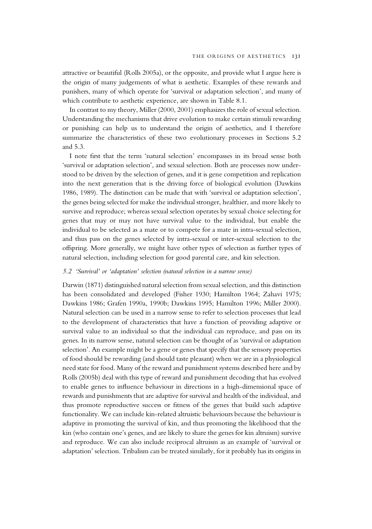attractive or beautiful (Rolls 2005a), or the opposite, and provide what I argue here is the origin of many judgements of what is aesthetic. Examples of these rewards and punishers, many of which operate for 'survival or adaptation selection', and many of which contribute to aesthetic experience, are shown in Table 8.1.

In contrast to my theory, Miller (2000, 2001) emphasizes the role of sexual selection. Understanding the mechanisms that drive evolution to make certain stimuli rewarding or punishing can help us to understand the origin of aesthetics, and I therefore summarize the characteristics of these two evolutionary processes in Sections 5.2 and 5.3.

I note first that the term 'natural selection' encompasses in its broad sense both 'survival or adaptation selection', and sexual selection. Both are processes now understood to be driven by the selection of genes, and it is gene competition and replication into the next generation that is the driving force of biological evolution (Dawkins 1986, 1989). The distinction can be made that with 'survival or adaptation selection', the genes being selected for make the individual stronger, healthier, and more likely to survive and reproduce; whereas sexual selection operates by sexual choice selecting for genes that may or may not have survival value to the individual, but enable the individual to be selected as a mate or to compete for a mate in intra-sexual selection, and thus pass on the genes selected by intra-sexual or inter-sexual selection to the offspring. More generally, we might have other types of selection as further types of natural selection, including selection for good parental care, and kin selection.

## 5.2 'Survival' or 'adaptation' selection (natural selection in a narrow sense)

Darwin (1871) distinguished natural selection from sexual selection, and this distinction has been consolidated and developed (Fisher 1930; Hamilton 1964; Zahavi 1975; Dawkins 1986; Grafen 1990a, 1990b; Dawkins 1995; Hamilton 1996; Miller 2000). Natural selection can be used in a narrow sense to refer to selection processes that lead to the development of characteristics that have a function of providing adaptive or survival value to an individual so that the individual can reproduce, and pass on its genes. In its narrow sense, natural selection can be thought of as 'survival or adaptation selection'. An example might be a gene or genes that specify that the sensory properties of food should be rewarding (and should taste pleasant) when we are in a physiological need state for food. Many of the reward and punishment systems described here and by Rolls (2005b) deal with this type of reward and punishment decoding that has evolved to enable genes to influence behaviour in directions in a high-dimensional space of rewards and punishments that are adaptive for survival and health of the individual, and thus promote reproductive success or fitness of the genes that build such adaptive functionality. We can include kin-related altruistic behaviours because the behaviour is adaptive in promoting the survival of kin, and thus promoting the likelihood that the kin (who contain one's genes, and are likely to share the genes for kin altruism) survive and reproduce. We can also include reciprocal altruism as an example of 'survival or adaptation' selection. Tribalism can be treated similarly, for it probably has its origins in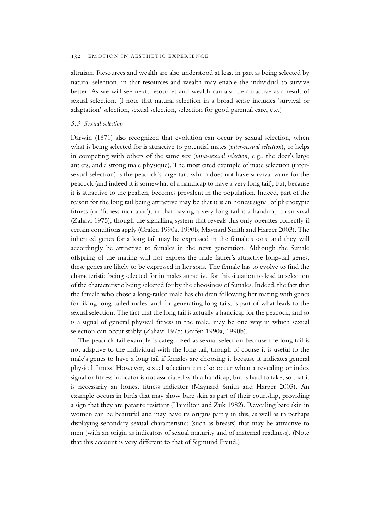altruism. Resources and wealth are also understood at least in part as being selected by natural selection, in that resources and wealth may enable the individual to survive better. As we will see next, resources and wealth can also be attractive as a result of sexual selection. (I note that natural selection in a broad sense includes 'survival or adaptation' selection, sexual selection, selection for good parental care, etc.)

## 5.3 Sexual selection

Darwin (1871) also recognized that evolution can occur by sexual selection, when what is being selected for is attractive to potential mates *(inter-sexual selection)*, or helps in competing with others of the same sex (intra-sexual selection, e.g., the deer's large antlers, and a strong male physique). The most cited example of mate selection (intersexual selection) is the peacock's large tail, which does not have survival value for the peacock (and indeed it is somewhat of a handicap to have a very long tail), but, because it is attractive to the peahen, becomes prevalent in the population. Indeed, part of the reason for the long tail being attractive may be that it is an honest signal of phenotypic fitness (or 'fitness indicator'), in that having a very long tail is a handicap to survival (Zahavi 1975), though the signalling system that reveals this only operates correctly if certain conditions apply (Grafen 1990a, 1990b; Maynard Smith and Harper 2003). The inherited genes for a long tail may be expressed in the female's sons, and they will accordingly be attractive to females in the next generation. Although the female offspring of the mating will not express the male father's attractive long-tail genes, these genes are likely to be expressed in her sons. The female has to evolve to find the characteristic being selected for in males attractive for this situation to lead to selection of the characteristic being selected for by the choosiness of females. Indeed, the fact that the female who chose a long-tailed male has children following her mating with genes for liking long-tailed males, and for generating long tails, is part of what leads to the sexual selection. The fact that the long tail is actually a handicap for the peacock, and so is a signal of general physical fitness in the male, may be one way in which sexual selection can occur stably (Zahavi 1975; Grafen 1990a, 1990b).

The peacock tail example is categorized as sexual selection because the long tail is not adaptive to the individual with the long tail, though of course it is useful to the male's genes to have a long tail if females are choosing it because it indicates general physical fitness. However, sexual selection can also occur when a revealing or index signal or fitness indicator is not associated with a handicap, but is hard to fake, so that it is necessarily an honest fitness indicator (Maynard Smith and Harper 2003). An example occurs in birds that may show bare skin as part of their courtship, providing a sign that they are parasite resistant (Hamilton and Zuk 1982). Revealing bare skin in women can be beautiful and may have its origins partly in this, as well as in perhaps displaying secondary sexual characteristics (such as breasts) that may be attractive to men (with an origin as indicators of sexual maturity and of maternal readiness). (Note that this account is very different to that of Sigmund Freud.)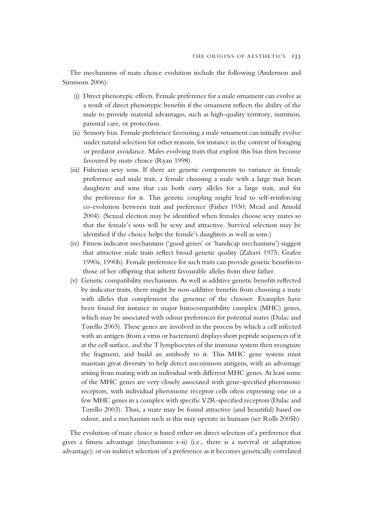The mechanisms of mate choice evolution include the following (Andersson and Simmons 2006):

- (i) Direct phenotypic effects. Female preference for a male ornament can evolve as a result of direct phenotypic benefits if the ornament reflects the ability of the male to provide material advantages, such as high-quality territory, nutrition, parental care, or protection.
- (ii) Sensory bias. Female preference favouring a male ornament can initially evolve under natural selection for other reasons, for instance in the context of foraging or predator avoidance. Males evolving traits that exploit this bias then become favoured by mate choice (Ryan 1998).
- (iii) Fisherian sexy sons. If there are genetic components to variance in female preference and male trait, a female choosing a male with a large trait bears daughters and sons that can both carry alleles for a large trait, and for the preference for it. This genetic coupling might lead to self-reinforcing co-evolution between trait and preference (Fisher 1930; Mead and Arnold 2004). (Sexual election may be identified when females choose sexy mates so that the female's sons will be sexy and attractive. Survival selection may be identified if the choice helps the female's daughters as well as sons.)
- (iv) Fitness indicator mechanisms ('good genes' or 'handicap mechanisms') suggest that attractive male traits reflect broad genetic quality (Zahavi 1975; Grafen 1990a, 1990b). Female preference for such traits can provide genetic benefits to those of her offspring that inherit favourable alleles from their father.
- (v) Genetic compatibility mechanisms. As well as additive genetic benefits reflected by indicator traits, there might be non-additive benefits from choosing a mate with alleles that complement the genome of the chooser. Examples have been found for instance in major histocompatibility complex (MHC) genes, which may be associated with odour preferences for potential mates (Dulac and Torello 2003). These genes are involved in the process by which a cell infected with an antigen (from a virus or bacterium) displays short peptide sequences of it at the cell surface, and the T lymphocytes of the immune system then recognize the fragment, and build an antibody to it. This MHC gene system must maintain great diversity to help detect uncommon antigens, with an advantage arising from mating with an individual with different MHC genes. At least some of the MHC genes are very closely associated with gene-specified pheromone receptors, with individual pheromone receptor cells often expressing one or a few MHC genes in a complex with specific V2R-specified receptors (Dulac and Torello 2003). Thus, a mate may be found attractive (and beautiful) based on odour, and a mechanism such as this may operate in humans (see Rolls 2005b).

The evolution of mate choice is based either on direct selection of a preference that gives a fitness advantage (mechanisms i–ii) (i.e., there is a survival or adaptation advantage); or on indirect selection of a preference as it becomes genetically correlated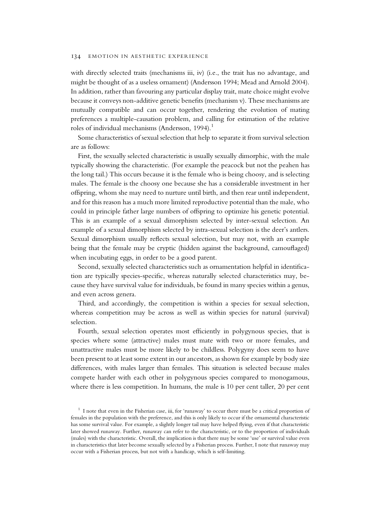with directly selected traits (mechanisms iii, iv) (i.e., the trait has no advantage, and might be thought of as a useless ornament) (Andersson 1994; Mead and Arnold 2004). In addition, rather than favouring any particular display trait, mate choice might evolve because it conveys non-additive genetic benefits (mechanism v). These mechanisms are mutually compatible and can occur together, rendering the evolution of mating preferences a multiple-causation problem, and calling for estimation of the relative roles of individual mechanisms (Andersson, 1994).<sup>1</sup>

Some characteristics of sexual selection that help to separate it from survival selection are as follows:

First, the sexually selected characteristic is usually sexually dimorphic, with the male typically showing the characteristic. (For example the peacock but not the peahen has the long tail.) This occurs because it is the female who is being choosy, and is selecting males. The female is the choosy one because she has a considerable investment in her offspring, whom she may need to nurture until birth, and then rear until independent, and for this reason has a much more limited reproductive potential than the male, who could in principle father large numbers of offspring to optimize his genetic potential. This is an example of a sexual dimorphism selected by inter-sexual selection. An example of a sexual dimorphism selected by intra-sexual selection is the deer's antlers. Sexual dimorphism usually reflects sexual selection, but may not, with an example being that the female may be cryptic (hidden against the background, camouflaged) when incubating eggs, in order to be a good parent.

Second, sexually selected characteristics such as ornamentation helpful in identification are typically species-specific, whereas naturally selected characteristics may, because they have survival value for individuals, be found in many species within a genus, and even across genera.

Third, and accordingly, the competition is within a species for sexual selection, whereas competition may be across as well as within species for natural (survival) selection.

Fourth, sexual selection operates most efficiently in polygynous species, that is species where some (attractive) males must mate with two or more females, and unattractive males must be more likely to be childless. Polygyny does seem to have been present to at least some extent in our ancestors, as shown for example by body size differences, with males larger than females. This situation is selected because males compete harder with each other in polygynous species compared to monogamous, where there is less competition. In humans, the male is 10 per cent taller, 20 per cent

 $1$  I note that even in the Fisherian case, iii, for 'runaway' to occur there must be a critical proportion of females in the population with the preference, and this is only likely to occur if the ornamental characteristic has some survival value. For example, a slightly longer tail may have helped flying, even if that characteristic later showed runaway. Further, runaway can refer to the characteristic, or to the proportion of individuals (males) with the characteristic. Overall, the implication is that there may be some 'use' or survival value even in characteristics that later become sexually selected by a Fisherian process. Further, I note that runaway may occur with a Fisherian process, but not with a handicap, which is self-limiting.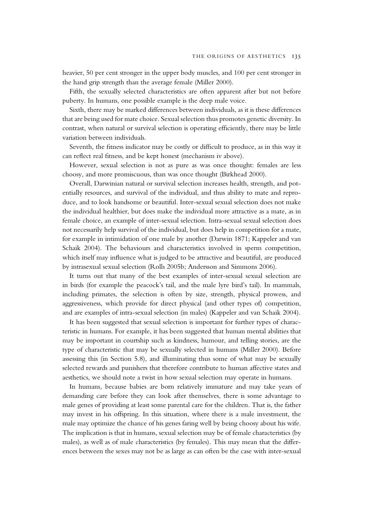heavier, 50 per cent stronger in the upper body muscles, and 100 per cent stronger in the hand grip strength than the average female (Miller 2000).

Fifth, the sexually selected characteristics are often apparent after but not before puberty. In humans, one possible example is the deep male voice.

Sixth, there may be marked differences between individuals, as it is these differences that are being used for mate choice. Sexual selection thus promotes genetic diversity. In contrast, when natural or survival selection is operating efficiently, there may be little variation between individuals.

Seventh, the fitness indicator may be costly or difficult to produce, as in this way it can reflect real fitness, and be kept honest (mechanism iv above).

However, sexual selection is not as pure as was once thought: females are less choosy, and more promiscuous, than was once thought (Birkhead 2000).

Overall, Darwinian natural or survival selection increases health, strength, and potentially resources, and survival of the individual, and thus ability to mate and reproduce, and to look handsome or beautiful. Inter-sexual sexual selection does not make the individual healthier, but does make the individual more attractive as a mate, as in female choice, an example of inter-sexual selection. Intra-sexual sexual selection does not necessarily help survival of the individual, but does help in competition for a mate, for example in intimidation of one male by another (Darwin 1871; Kappeler and van Schaik 2004). The behaviours and characteristics involved in sperm competition, which itself may influence what is judged to be attractive and beautiful, are produced by intrasexual sexual selection (Rolls 2005b; Andersson and Simmons 2006).

It turns out that many of the best examples of inter-sexual sexual selection are in birds (for example the peacock's tail, and the male lyre bird's tail). In mammals, including primates, the selection is often by size, strength, physical prowess, and aggressiveness, which provide for direct physical (and other types of) competition, and are examples of intra-sexual selection (in males) (Kappeler and van Schaik 2004).

It has been suggested that sexual selection is important for further types of characteristic in humans. For example, it has been suggested that human mental abilities that may be important in courtship such as kindness, humour, and telling stories, are the type of characteristic that may be sexually selected in humans (Miller 2000). Before assessing this (in Section 5.8), and illuminating thus some of what may be sexually selected rewards and punishers that therefore contribute to human affective states and aesthetics, we should note a twist in how sexual selection may operate in humans.

In humans, because babies are born relatively immature and may take years of demanding care before they can look after themselves, there is some advantage to male genes of providing at least some parental care for the children. That is, the father may invest in his offspring. In this situation, where there is a male investment, the male may optimize the chance of his genes faring well by being choosy about his wife. The implication is that in humans, sexual selection may be of female characteristics (by males), as well as of male characteristics (by females). This may mean that the differences between the sexes may not be as large as can often be the case with inter-sexual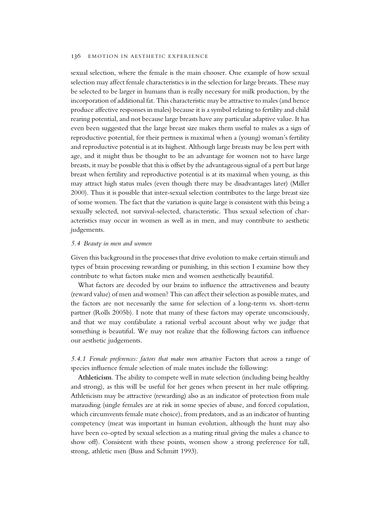sexual selection, where the female is the main chooser. One example of how sexual selection may affect female characteristics is in the selection for large breasts. These may be selected to be larger in humans than is really necessary for milk production, by the incorporation of additional fat. This characteristic may be attractive to males (and hence produce affective responses in males) because it is a symbol relating to fertility and child rearing potential, and not because large breasts have any particular adaptive value. It has even been suggested that the large breast size makes them useful to males as a sign of reproductive potential, for their pertness is maximal when a (young) woman's fertility and reproductive potential is at its highest. Although large breasts may be less pert with age, and it might thus be thought to be an advantage for women not to have large breasts, it may be possible that this is offset by the advantageous signal of a pert but large breast when fertility and reproductive potential is at its maximal when young, as this may attract high status males (even though there may be disadvantages later) (Miller 2000). Thus it is possible that inter-sexual selection contributes to the large breast size of some women. The fact that the variation is quite large is consistent with this being a sexually selected, not survival-selected, characteristic. Thus sexual selection of characteristics may occur in women as well as in men, and may contribute to aesthetic judgements.

## 5.4 Beauty in men and women

Given this background in the processes that drive evolution to make certain stimuli and types of brain processing rewarding or punishing, in this section I examine how they contribute to what factors make men and women aesthetically beautiful.

What factors are decoded by our brains to influence the attractiveness and beauty (reward value) of men and women? This can affect their selection as possible mates, and the factors are not necessarily the same for selection of a long-term vs. short-term partner (Rolls 2005b). I note that many of these factors may operate unconsciously, and that we may confabulate a rational verbal account about why we judge that something is beautiful. We may not realize that the following factors can influence our aesthetic judgements.

5.4.1 Female preferences: factors that make men attractive Factors that across a range of species influence female selection of male mates include the following:

Athleticism. The ability to compete well in mate selection (including being healthy and strong), as this will be useful for her genes when present in her male offspring. Athleticism may be attractive (rewarding) also as an indicator of protection from male marauding (single females are at risk in some species of abuse, and forced copulation, which circumvents female mate choice), from predators, and as an indicator of hunting competency (meat was important in human evolution, although the hunt may also have been co-opted by sexual selection as a mating ritual giving the males a chance to show off). Consistent with these points, women show a strong preference for tall, strong, athletic men (Buss and Schmitt 1993).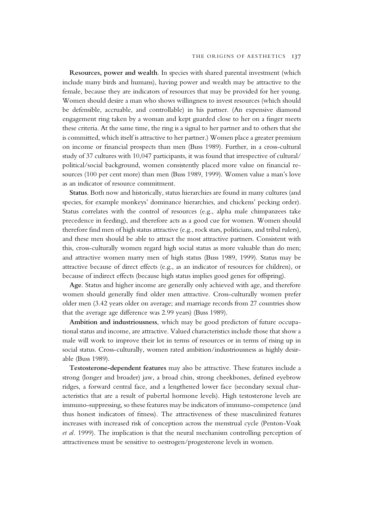Resources, power and wealth. In species with shared parental investment (which include many birds and humans), having power and wealth may be attractive to the female, because they are indicators of resources that may be provided for her young. Women should desire a man who shows willingness to invest resources (which should be defensible, accruable, and controllable) in his partner. (An expensive diamond engagement ring taken by a woman and kept guarded close to her on a finger meets these criteria. At the same time, the ring is a signal to her partner and to others that she is committed, which itself is attractive to her partner.) Women place a greater premium on income or financial prospects than men (Buss 1989). Further, in a cross-cultural study of 37 cultures with 10,047 participants, it was found that irrespective of cultural/ political/social background, women consistently placed more value on financial resources (100 per cent more) than men (Buss 1989, 1999). Women value a man's love as an indicator of resource commitment.

Status. Both now and historically, status hierarchies are found in many cultures (and species, for example monkeys' dominance hierarchies, and chickens' pecking order). Status correlates with the control of resources (e.g., alpha male chimpanzees take precedence in feeding), and therefore acts as a good cue for women. Women should therefore find men of high status attractive (e.g., rock stars, politicians, and tribal rulers), and these men should be able to attract the most attractive partners. Consistent with this, cross-culturally women regard high social status as more valuable than do men; and attractive women marry men of high status (Buss 1989, 1999). Status may be attractive because of direct effects (e.g., as an indicator of resources for children), or because of indirect effects (because high status implies good genes for offspring).

Age. Status and higher income are generally only achieved with age, and therefore women should generally find older men attractive. Cross-culturally women prefer older men (3.42 years older on average; and marriage records from 27 countries show that the average age difference was 2.99 years) (Buss 1989).

Ambition and industriousness, which may be good predictors of future occupational status and income, are attractive. Valued characteristics include those that show a male will work to improve their lot in terms of resources or in terms of rising up in social status. Cross-culturally, women rated ambition/industriousness as highly desirable (Buss 1989).

Testosterone-dependent features may also be attractive. These features include a strong (longer and broader) jaw, a broad chin, strong cheekbones, defined eyebrow ridges, a forward central face, and a lengthened lower face (secondary sexual characteristics that are a result of pubertal hormone levels). High testosterone levels are immuno-suppressing, so these features may be indicators of immuno-competence (and thus honest indicators of fitness). The attractiveness of these masculinized features increases with increased risk of conception across the menstrual cycle (Penton-Voak et al. 1999). The implication is that the neural mechanism controlling perception of attractiveness must be sensitive to oestrogen/progesterone levels in women.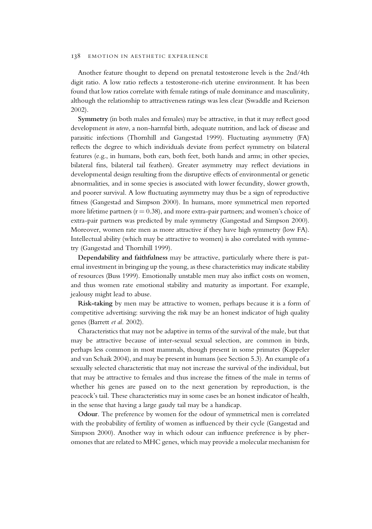Another feature thought to depend on prenatal testosterone levels is the 2nd/4th digit ratio. A low ratio reflects a testosterone-rich uterine environment. It has been found that low ratios correlate with female ratings of male dominance and masculinity, although the relationship to attractiveness ratings was less clear (Swaddle and Reierson 2002).

Symmetry (in both males and females) may be attractive, in that it may reflect good development in utero, a non-harmful birth, adequate nutrition, and lack of disease and parasitic infections (Thornhill and Gangestad 1999). Fluctuating asymmetry (FA) reflects the degree to which individuals deviate from perfect symmetry on bilateral features (e.g., in humans, both ears, both feet, both hands and arms; in other species, bilateral fins, bilateral tail feathers). Greater asymmetry may reflect deviations in developmental design resulting from the disruptive effects of environmental or genetic abnormalities, and in some species is associated with lower fecundity, slower growth, and poorer survival. A low fluctuating asymmetry may thus be a sign of reproductive fitness (Gangestad and Simpson 2000). In humans, more symmetrical men reported more lifetime partners  $(r = 0.38)$ , and more extra-pair partners; and women's choice of extra-pair partners was predicted by male symmetry (Gangestad and Simpson 2000). Moreover, women rate men as more attractive if they have high symmetry (low FA). Intellectual ability (which may be attractive to women) is also correlated with symmetry (Gangestad and Thornhill 1999).

Dependability and faithfulness may be attractive, particularly where there is paternal investment in bringing up the young, as these characteristics may indicate stability of resources (Buss 1999). Emotionally unstable men may also inflict costs on women, and thus women rate emotional stability and maturity as important. For example, jealousy might lead to abuse.

Risk-taking by men may be attractive to women, perhaps because it is a form of competitive advertising: surviving the risk may be an honest indicator of high quality genes (Barrett et al. 2002).

Characteristics that may not be adaptive in terms of the survival of the male, but that may be attractive because of inter-sexual sexual selection, are common in birds, perhaps less common in most mammals, though present in some primates (Kappeler and van Schaik 2004), and may be present in humans (see Section 5.3). An example of a sexually selected characteristic that may not increase the survival of the individual, but that may be attractive to females and thus increase the fitness of the male in terms of whether his genes are passed on to the next generation by reproduction, is the peacock's tail. These characteristics may in some cases be an honest indicator of health, in the sense that having a large gaudy tail may be a handicap.

Odour. The preference by women for the odour of symmetrical men is correlated with the probability of fertility of women as influenced by their cycle (Gangestad and Simpson 2000). Another way in which odour can influence preference is by pheromones that are related to MHC genes, which may provide a molecular mechanism for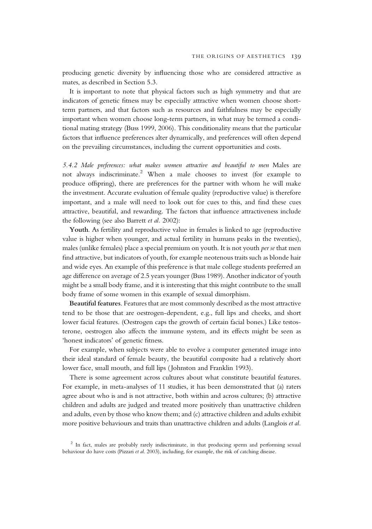producing genetic diversity by influencing those who are considered attractive as mates, as described in Section 5.3.

It is important to note that physical factors such as high symmetry and that are indicators of genetic fitness may be especially attractive when women choose shortterm partners, and that factors such as resources and faithfulness may be especially important when women choose long-term partners, in what may be termed a conditional mating strategy (Buss 1999, 2006). This conditionality means that the particular factors that influence preferences alter dynamically, and preferences will often depend on the prevailing circumstances, including the current opportunities and costs.

5.4.2 Male preferences: what makes women attractive and beautiful to men Males are not always indiscriminate.<sup>2</sup> When a male chooses to invest (for example to produce offspring), there are preferences for the partner with whom he will make the investment. Accurate evaluation of female quality (reproductive value) is therefore important, and a male will need to look out for cues to this, and find these cues attractive, beautiful, and rewarding. The factors that influence attractiveness include the following (see also Barrett et al. 2002):

Youth. As fertility and reproductive value in females is linked to age (reproductive value is higher when younger, and actual fertility in humans peaks in the twenties), males (unlike females) place a special premium on youth. It is not youth *per se* that men find attractive, but indicators of youth, for example neotenous traits such as blonde hair and wide eyes. An example of this preference is that male college students preferred an age difference on average of 2.5 years younger (Buss 1989). Another indicator of youth might be a small body frame, and it is interesting that this might contribute to the small body frame of some women in this example of sexual dimorphism.

Beautiful features. Features that are most commonly described as the most attractive tend to be those that are oestrogen-dependent, e.g., full lips and cheeks, and short lower facial features. (Oestrogen caps the growth of certain facial bones.) Like testosterone, oestrogen also affects the immune system, and its effects might be seen as 'honest indicators' of genetic fitness.

For example, when subjects were able to evolve a computer generated image into their ideal standard of female beauty, the beautiful composite had a relatively short lower face, small mouth, and full lips ( Johnston and Franklin 1993).

There is some agreement across cultures about what constitute beautiful features. For example, in meta-analyses of 11 studies, it has been demonstrated that (a) raters agree about who is and is not attractive, both within and across cultures; (b) attractive children and adults are judged and treated more positively than unattractive children and adults, even by those who know them; and (c) attractive children and adults exhibit more positive behaviours and traits than unattractive children and adults (Langlois et al.

<sup>&</sup>lt;sup>2</sup> In fact, males are probably rarely indiscriminate, in that producing sperm and performing sexual behaviour do have costs (Pizzari et al. 2003), including, for example, the risk of catching disease.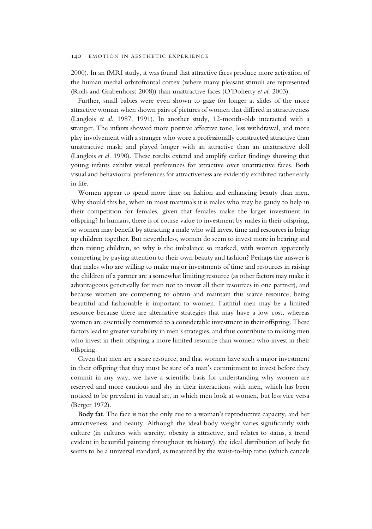2000). In an fMRI study, it was found that attractive faces produce more activation of the human medial orbitofrontal cortex (where many pleasant stimuli are represented (Rolls and Grabenhorst 2008)) than unattractive faces (O'Doherty et al. 2003).

Further, small babies were even shown to gaze for longer at slides of the more attractive woman when shown pairs of pictures of women that differed in attractiveness (Langlois et al. 1987, 1991). In another study, 12-month-olds interacted with a stranger. The infants showed more positive affective tone, less withdrawal, and more play involvement with a stranger who wore a professionally constructed attractive than unattractive mask; and played longer with an attractive than an unattractive doll (Langlois et al. 1990). These results extend and amplify earlier findings showing that young infants exhibit visual preferences for attractive over unattractive faces. Both visual and behavioural preferences for attractiveness are evidently exhibited rather early in life.

Women appear to spend more time on fashion and enhancing beauty than men. Why should this be, when in most mammals it is males who may be gaudy to help in their competition for females, given that females make the larger investment in offspring? In humans, there is of course value to investment by males in their offspring, so women may benefit by attracting a male who will invest time and resources in bring up children together. But nevertheless, women do seem to invest more in bearing and then raising children, so why is the imbalance so marked, with women apparently competing by paying attention to their own beauty and fashion? Perhaps the answer is that males who are willing to make major investments of time and resources in raising the children of a partner are a somewhat limiting resource (as other factors may make it advantageous genetically for men not to invest all their resources in one partner), and because women are competing to obtain and maintain this scarce resource, being beautiful and fashionable is important to women. Faithful men may be a limited resource because there are alternative strategies that may have a low cost, whereas women are essentially committed to a considerable investment in their offspring. These factors lead to greater variability in men's strategies, and thus contribute to making men who invest in their offspring a more limited resource than women who invest in their offspring.

Given that men are a scare resource, and that women have such a major investment in their offspring that they must be sure of a man's commitment to invest before they commit in any way, we have a scientific basis for understanding why women are reserved and more cautious and shy in their interactions with men, which has been noticed to be prevalent in visual art, in which men look at women, but less vice versa (Berger 1972).

Body fat. The face is not the only cue to a woman's reproductive capacity, and her attractiveness, and beauty. Although the ideal body weight varies significantly with culture (in cultures with scarcity, obesity is attractive, and relates to status, a trend evident in beautiful painting throughout its history), the ideal distribution of body fat seems to be a universal standard, as measured by the waist-to-hip ratio (which cancels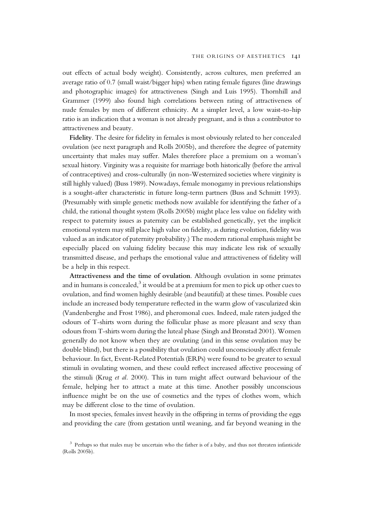out effects of actual body weight). Consistently, across cultures, men preferred an average ratio of 0.7 (small waist/bigger hips) when rating female figures (line drawings and photographic images) for attractiveness (Singh and Luis 1995). Thornhill and Grammer (1999) also found high correlations between rating of attractiveness of nude females by men of different ethnicity. At a simpler level, a low waist-to-hip ratio is an indication that a woman is not already pregnant, and is thus a contributor to attractiveness and beauty.

Fidelity. The desire for fidelity in females is most obviously related to her concealed ovulation (see next paragraph and Rolls 2005b), and therefore the degree of paternity uncertainty that males may suffer. Males therefore place a premium on a woman's sexual history. Virginity was a requisite for marriage both historically (before the arrival of contraceptives) and cross-culturally (in non-Westernized societies where virginity is still highly valued) (Buss 1989). Nowadays, female monogamy in previous relationships is a sought-after characteristic in future long-term partners (Buss and Schmitt 1993). (Presumably with simple genetic methods now available for identifying the father of a child, the rational thought system (Rolls 2005b) might place less value on fidelity with respect to paternity issues as paternity can be established genetically, yet the implicit emotional system may still place high value on fidelity, as during evolution, fidelity was valued as an indicator of paternity probability.) The modern rational emphasis might be especially placed on valuing fidelity because this may indicate less risk of sexually transmitted disease, and perhaps the emotional value and attractiveness of fidelity will be a help in this respect.

Attractiveness and the time of ovulation. Although ovulation in some primates and in humans is concealed, $3$  it would be at a premium for men to pick up other cues to ovulation, and find women highly desirable (and beautiful) at these times. Possible cues include an increased body temperature reflected in the warm glow of vascularized skin (Vandenberghe and Frost 1986), and pheromonal cues. Indeed, male raters judged the odours of T-shirts worn during the follicular phase as more pleasant and sexy than odours from T-shirts worn during the luteal phase (Singh and Bronstad 2001). Women generally do not know when they are ovulating (and in this sense ovulation may be double blind), but there is a possibility that ovulation could unconsciously affect female behaviour. In fact, Event-Related Potentials (ERPs) were found to be greater to sexual stimuli in ovulating women, and these could reflect increased affective processing of the stimuli (Krug et al. 2000). This in turn might affect outward behaviour of the female, helping her to attract a mate at this time. Another possibly unconscious influence might be on the use of cosmetics and the types of clothes worn, which may be different close to the time of ovulation.

In most species, females invest heavily in the offspring in terms of providing the eggs and providing the care (from gestation until weaning, and far beyond weaning in the

<sup>&</sup>lt;sup>3</sup> Perhaps so that males may be uncertain who the father is of a baby, and thus not threaten infanticide (Rolls 2005b).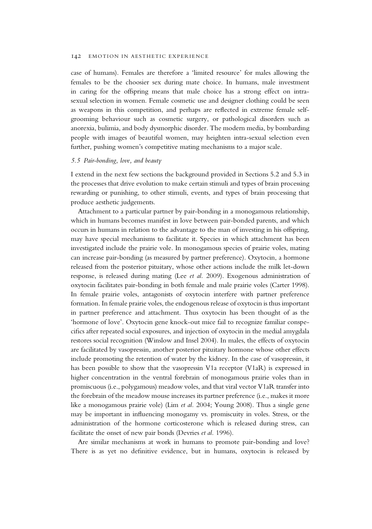case of humans). Females are therefore a 'limited resource' for males allowing the females to be the choosier sex during mate choice. In humans, male investment in caring for the offspring means that male choice has a strong effect on intrasexual selection in women. Female cosmetic use and designer clothing could be seen as weapons in this competition, and perhaps are reflected in extreme female selfgrooming behaviour such as cosmetic surgery, or pathological disorders such as anorexia, bulimia, and body dysmorphic disorder. The modern media, by bombarding people with images of beautiful women, may heighten intra-sexual selection even further, pushing women's competitive mating mechanisms to a major scale.

## 5.5 Pair-bonding, love, and beauty

I extend in the next few sections the background provided in Sections 5.2 and 5.3 in the processes that drive evolution to make certain stimuli and types of brain processing rewarding or punishing, to other stimuli, events, and types of brain processing that produce aesthetic judgements.

Attachment to a particular partner by pair-bonding in a monogamous relationship, which in humans becomes manifest in love between pair-bonded parents, and which occurs in humans in relation to the advantage to the man of investing in his offspring, may have special mechanisms to facilitate it. Species in which attachment has been investigated include the prairie vole. In monogamous species of prairie voles, mating can increase pair-bonding (as measured by partner preference). Oxytocin, a hormone released from the posterior pituitary, whose other actions include the milk let-down response, is released during mating (Lee et al. 2009). Exogenous administration of oxytocin facilitates pair-bonding in both female and male prairie voles (Carter 1998). In female prairie voles, antagonists of oxytocin interfere with partner preference formation. In female prairie voles, the endogenous release of oxytocin is thus important in partner preference and attachment. Thus oxytocin has been thought of as the 'hormone of love'. Oxytocin gene knock-out mice fail to recognize familiar conspecifics after repeated social exposures, and injection of oxytocin in the medial amygdala restores social recognition (Winslow and Insel 2004). In males, the effects of oxytocin are facilitated by vasopressin, another posterior pituitary hormone whose other effects include promoting the retention of water by the kidney. In the case of vasopressin, it has been possible to show that the vasopressin V1a receptor (V1aR) is expressed in higher concentration in the ventral forebrain of monogamous prairie voles than in promiscuous (i.e., polygamous) meadow voles, and that viral vector V1aR transfer into the forebrain of the meadow mouse increases its partner preference (i.e., makes it more like a monogamous prairie vole) (Lim et al. 2004; Young 2008). Thus a single gene may be important in influencing monogamy vs. promiscuity in voles. Stress, or the administration of the hormone corticosterone which is released during stress, can facilitate the onset of new pair bonds (Devries *et al.* 1996).

Are similar mechanisms at work in humans to promote pair-bonding and love? There is as yet no definitive evidence, but in humans, oxytocin is released by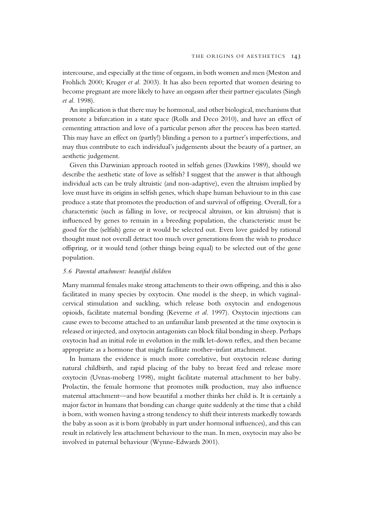intercourse, and especially at the time of orgasm, in both women and men (Meston and Frohlich 2000; Kruger et al. 2003). It has also been reported that women desiring to become pregnant are more likely to have an orgasm after their partner ejaculates (Singh et al. 1998).

An implication is that there may be hormonal, and other biological, mechanisms that promote a bifurcation in a state space (Rolls and Deco 2010), and have an effect of cementing attraction and love of a particular person after the process has been started. This may have an effect on (partly!) blinding a person to a partner's imperfections, and may thus contribute to each individual's judgements about the beauty of a partner, an aesthetic judgement.

Given this Darwinian approach rooted in selfish genes (Dawkins 1989), should we describe the aesthetic state of love as selfish? I suggest that the answer is that although individual acts can be truly altruistic (and non-adaptive), even the altruism implied by love must have its origins in selfish genes, which shape human behaviour to in this case produce a state that promotes the production of and survival of offspring. Overall, for a characteristic (such as falling in love, or reciprocal altruism, or kin altruism) that is influenced by genes to remain in a breeding population, the characteristic must be good for the (selfish) gene or it would be selected out. Even love guided by rational thought must not overall detract too much over generations from the wish to produce offspring, or it would tend (other things being equal) to be selected out of the gene population.

## 5.6 Parental attachment: beautiful children

Many mammal females make strong attachments to their own offspring, and this is also facilitated in many species by oxytocin. One model is the sheep, in which vaginalcervical stimulation and suckling, which release both oxytocin and endogenous opioids, facilitate maternal bonding (Keverne et al. 1997). Oxytocin injections can cause ewes to become attached to an unfamiliar lamb presented at the time oxytocin is released or injected, and oxytocin antagonists can block filial bonding in sheep. Perhaps oxytocin had an initial role in evolution in the milk let-down reflex, and then became appropriate as a hormone that might facilitate mother–infant attachment.

In humans the evidence is much more correlative, but oxytocin release during natural childbirth, and rapid placing of the baby to breast feed and release more oxytocin (Uvnas-moberg 1998), might facilitate maternal attachment to her baby. Prolactin, the female hormone that promotes milk production, may also influence maternal attachment—and how beautiful a mother thinks her child is. It is certainly a major factor in humans that bonding can change quite suddenly at the time that a child is born, with women having a strong tendency to shift their interests markedly towards the baby as soon as it is born (probably in part under hormonal influences), and this can result in relatively less attachment behaviour to the man. In men, oxytocin may also be involved in paternal behaviour (Wynne-Edwards 2001).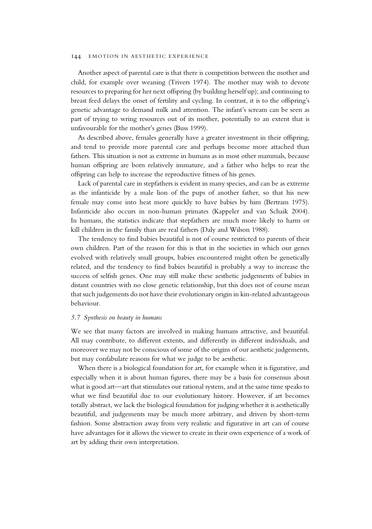Another aspect of parental care is that there is competition between the mother and child, for example over weaning (Trivers 1974). The mother may wish to devote resources to preparing for her next offspring (by building herself up); and continuing to breast feed delays the onset of fertility and cycling. In contrast, it is to the offspring's genetic advantage to demand milk and attention. The infant's scream can be seen as part of trying to wring resources out of its mother, potentially to an extent that is unfavourable for the mother's genes (Buss 1999).

As described above, females generally have a greater investment in their offspring, and tend to provide more parental care and perhaps become more attached than fathers. This situation is not as extreme in humans as in most other mammals, because human offspring are born relatively immature, and a father who helps to rear the offspring can help to increase the reproductive fitness of his genes.

Lack of parental care in stepfathers is evident in many species, and can be as extreme as the infanticide by a male lion of the pups of another father, so that his new female may come into heat more quickly to have babies by him (Bertram 1975). Infanticide also occurs in non-human primates (Kappeler and van Schaik 2004). In humans, the statistics indicate that stepfathers are much more likely to harm or kill children in the family than are real fathers (Daly and Wilson 1988).

The tendency to find babies beautiful is not of course restricted to parents of their own children. Part of the reason for this is that in the societies in which our genes evolved with relatively small groups, babies encountered might often be genetically related, and the tendency to find babies beautiful is probably a way to increase the success of selfish genes. One may still make these aesthetic judgements of babies in distant countries with no close genetic relationship, but this does not of course mean that such judgements do not have their evolutionary origin in kin-related advantageous behaviour.

## 5.7 Synthesis on beauty in humans

We see that many factors are involved in making humans attractive, and beautiful. All may contribute, to different extents, and differently in different individuals, and moreover we may not be conscious of some of the origins of our aesthetic judgements, but may confabulate reasons for what we judge to be aesthetic.

When there is a biological foundation for art, for example when it is figurative, and especially when it is about human figures, there may be a basis for consensus about what is good art—art that stimulates our rational system, and at the same time speaks to what we find beautiful due to our evolutionary history. However, if art becomes totally abstract, we lack the biological foundation for judging whether it is aesthetically beautiful, and judgements may be much more arbitrary, and driven by short-term fashion. Some abstraction away from very realistic and figurative in art can of course have advantages for it allows the viewer to create in their own experience of a work of art by adding their own interpretation.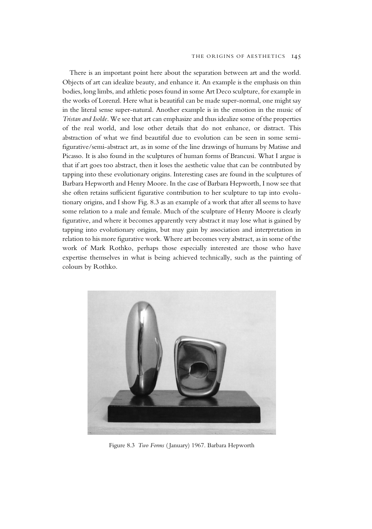There is an important point here about the separation between art and the world. Objects of art can idealize beauty, and enhance it. An example is the emphasis on thin bodies, long limbs, and athletic poses found in some Art Deco sculpture, for example in the works of Lorenzl. Here what is beautiful can be made super-normal, one might say in the literal sense super-natural. Another example is in the emotion in the music of Tristan and Isolde. We see that art can emphasize and thus idealize some of the properties of the real world, and lose other details that do not enhance, or distract. This abstraction of what we find beautiful due to evolution can be seen in some semifigurative/semi-abstract art, as in some of the line drawings of humans by Matisse and Picasso. It is also found in the sculptures of human forms of Brancusi. What I argue is that if art goes too abstract, then it loses the aesthetic value that can be contributed by tapping into these evolutionary origins. Interesting cases are found in the sculptures of Barbara Hepworth and Henry Moore. In the case of Barbara Hepworth, I now see that she often retains sufficient figurative contribution to her sculpture to tap into evolutionary origins, and I show Fig. 8.3 as an example of a work that after all seems to have some relation to a male and female. Much of the sculpture of Henry Moore is clearly figurative, and where it becomes apparently very abstract it may lose what is gained by tapping into evolutionary origins, but may gain by association and interpretation in relation to his more figurative work. Where art becomes very abstract, as in some of the work of Mark Rothko, perhaps those especially interested are those who have expertise themselves in what is being achieved technically, such as the painting of colours by Rothko.



Figure 8.3 Two Forms ( January) 1967. Barbara Hepworth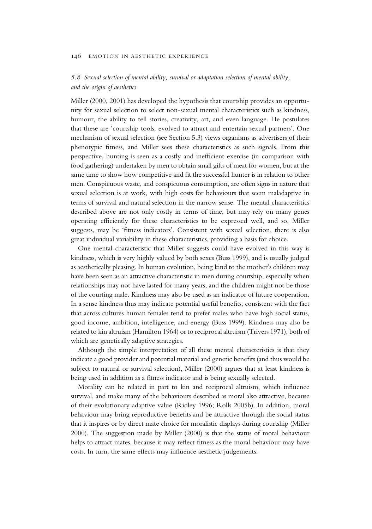# 5.8 Sexual selection of mental ability, survival or adaptation selection of mental ability, and the origin of aesthetics

Miller (2000, 2001) has developed the hypothesis that courtship provides an opportunity for sexual selection to select non-sexual mental characteristics such as kindness, humour, the ability to tell stories, creativity, art, and even language. He postulates that these are 'courtship tools, evolved to attract and entertain sexual partners'. One mechanism of sexual selection (see Section 5.3) views organisms as advertisers of their phenotypic fitness, and Miller sees these characteristics as such signals. From this perspective, hunting is seen as a costly and inefficient exercise (in comparison with food gathering) undertaken by men to obtain small gifts of meat for women, but at the same time to show how competitive and fit the successful hunter is in relation to other men. Conspicuous waste, and conspicuous consumption, are often signs in nature that sexual selection is at work, with high costs for behaviours that seem maladaptive in terms of survival and natural selection in the narrow sense. The mental characteristics described above are not only costly in terms of time, but may rely on many genes operating efficiently for these characteristics to be expressed well, and so, Miller suggests, may be 'fitness indicators'. Consistent with sexual selection, there is also great individual variability in these characteristics, providing a basis for choice.

One mental characteristic that Miller suggests could have evolved in this way is kindness, which is very highly valued by both sexes (Buss 1999), and is usually judged as aesthetically pleasing. In human evolution, being kind to the mother's children may have been seen as an attractive characteristic in men during courtship, especially when relationships may not have lasted for many years, and the children might not be those of the courting male. Kindness may also be used as an indicator of future cooperation. In a sense kindness thus may indicate potential useful benefits, consistent with the fact that across cultures human females tend to prefer males who have high social status, good income, ambition, intelligence, and energy (Buss 1999). Kindness may also be related to kin altruism (Hamilton 1964) or to reciprocal altruism (Trivers 1971), both of which are genetically adaptive strategies.

Although the simple interpretation of all these mental characteristics is that they indicate a good provider and potential material and genetic benefits (and thus would be subject to natural or survival selection), Miller (2000) argues that at least kindness is being used in addition as a fitness indicator and is being sexually selected.

Morality can be related in part to kin and reciprocal altruism, which influence survival, and make many of the behaviours described as moral also attractive, because of their evolutionary adaptive value (Ridley 1996; Rolls 2005b). In addition, moral behaviour may bring reproductive benefits and be attractive through the social status that it inspires or by direct mate choice for moralistic displays during courtship (Miller 2000). The suggestion made by Miller (2000) is that the status of moral behaviour helps to attract mates, because it may reflect fitness as the moral behaviour may have costs. In turn, the same effects may influence aesthetic judgements.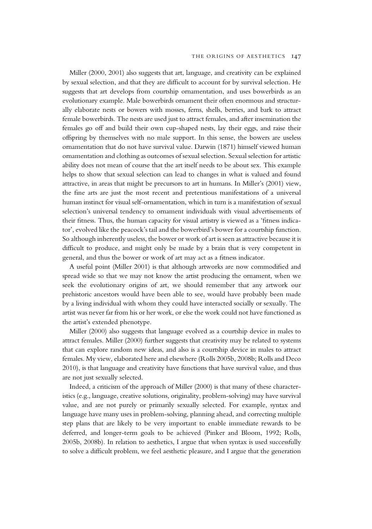Miller (2000, 2001) also suggests that art, language, and creativity can be explained by sexual selection, and that they are difficult to account for by survival selection. He suggests that art develops from courtship ornamentation, and uses bowerbirds as an evolutionary example. Male bowerbirds ornament their often enormous and structurally elaborate nests or bowers with mosses, ferns, shells, berries, and bark to attract female bowerbirds. The nests are used just to attract females, and after insemination the females go off and build their own cup-shaped nests, lay their eggs, and raise their offspring by themselves with no male support. In this sense, the bowers are useless ornamentation that do not have survival value. Darwin (1871) himself viewed human ornamentation and clothing as outcomes of sexual selection. Sexual selection for artistic ability does not mean of course that the art itself needs to be about sex. This example helps to show that sexual selection can lead to changes in what is valued and found attractive, in areas that might be precursors to art in humans. In Miller's (2001) view, the fine arts are just the most recent and pretentious manifestations of a universal human instinct for visual self-ornamentation, which in turn is a manifestation of sexual selection's universal tendency to ornament individuals with visual advertisements of their fitness. Thus, the human capacity for visual artistry is viewed as a 'fitness indicator', evolved like the peacock's tail and the bowerbird's bower for a courtship function. So although inherently useless, the bower or work of art is seen as attractive because it is difficult to produce, and might only be made by a brain that is very competent in general, and thus the bower or work of art may act as a fitness indicator.

A useful point (Miller 2001) is that although artworks are now commodified and spread wide so that we may not know the artist producing the ornament, when we seek the evolutionary origins of art, we should remember that any artwork our prehistoric ancestors would have been able to see, would have probably been made by a living individual with whom they could have interacted socially or sexually. The artist was never far from his or her work, or else the work could not have functioned as the artist's extended phenotype.

Miller (2000) also suggests that language evolved as a courtship device in males to attract females. Miller (2000) further suggests that creativity may be related to systems that can explore random new ideas, and also is a courtship device in males to attract females. My view, elaborated here and elsewhere (Rolls 2005b, 2008b; Rolls and Deco 2010), is that language and creativity have functions that have survival value, and thus are not just sexually selected.

Indeed, a criticism of the approach of Miller (2000) is that many of these characteristics (e.g., language, creative solutions, originality, problem-solving) may have survival value, and are not purely or primarily sexually selected. For example, syntax and language have many uses in problem-solving, planning ahead, and correcting multiple step plans that are likely to be very important to enable immediate rewards to be deferred, and longer-term goals to be achieved (Pinker and Bloom, 1992; Rolls, 2005b, 2008b). In relation to aesthetics, I argue that when syntax is used successfully to solve a difficult problem, we feel aesthetic pleasure, and I argue that the generation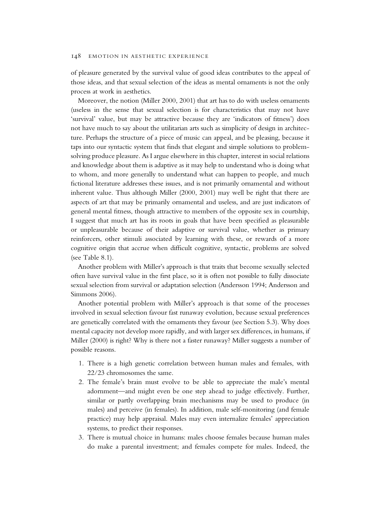of pleasure generated by the survival value of good ideas contributes to the appeal of those ideas, and that sexual selection of the ideas as mental ornaments is not the only process at work in aesthetics.

Moreover, the notion (Miller 2000, 2001) that art has to do with useless ornaments (useless in the sense that sexual selection is for characteristics that may not have 'survival' value, but may be attractive because they are 'indicators of fitness') does not have much to say about the utilitarian arts such as simplicity of design in architecture. Perhaps the structure of a piece of music can appeal, and be pleasing, because it taps into our syntactic system that finds that elegant and simple solutions to problemsolving produce pleasure. As I argue elsewhere in this chapter, interest in social relations and knowledge about them is adaptive as it may help to understand who is doing what to whom, and more generally to understand what can happen to people, and much fictional literature addresses these issues, and is not primarily ornamental and without inherent value. Thus although Miller (2000, 2001) may well be right that there are aspects of art that may be primarily ornamental and useless, and are just indicators of general mental fitness, though attractive to members of the opposite sex in courtship, I suggest that much art has its roots in goals that have been specified as pleasurable or unpleasurable because of their adaptive or survival value, whether as primary reinforcers, other stimuli associated by learning with these, or rewards of a more cognitive origin that accrue when difficult cognitive, syntactic, problems are solved (see Table 8.1).

Another problem with Miller's approach is that traits that become sexually selected often have survival value in the first place, so it is often not possible to fully dissociate sexual selection from survival or adaptation selection (Andersson 1994; Andersson and Simmons 2006).

Another potential problem with Miller's approach is that some of the processes involved in sexual selection favour fast runaway evolution, because sexual preferences are genetically correlated with the ornaments they favour (see Section 5.3). Why does mental capacity not develop more rapidly, and with larger sex differences, in humans, if Miller (2000) is right? Why is there not a faster runaway? Miller suggests a number of possible reasons.

- 1. There is a high genetic correlation between human males and females, with 22/23 chromosomes the same.
- 2. The female's brain must evolve to be able to appreciate the male's mental adornment—and might even be one step ahead to judge effectively. Further, similar or partly overlapping brain mechanisms may be used to produce (in males) and perceive (in females). In addition, male self-monitoring (and female practice) may help appraisal. Males may even internalize females' appreciation systems, to predict their responses.
- 3. There is mutual choice in humans: males choose females because human males do make a parental investment; and females compete for males. Indeed, the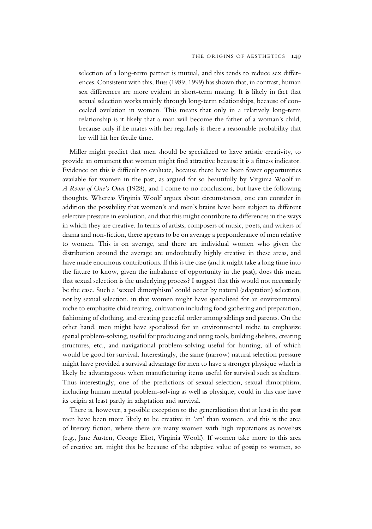selection of a long-term partner is mutual, and this tends to reduce sex differences. Consistent with this, Buss (1989, 1999) has shown that, in contrast, human sex differences are more evident in short-term mating. It is likely in fact that sexual selection works mainly through long-term relationships, because of concealed ovulation in women. This means that only in a relatively long-term relationship is it likely that a man will become the father of a woman's child, because only if he mates with her regularly is there a reasonable probability that he will hit her fertile time.

Miller might predict that men should be specialized to have artistic creativity, to provide an ornament that women might find attractive because it is a fitness indicator. Evidence on this is difficult to evaluate, because there have been fewer opportunities available for women in the past, as argued for so beautifully by Virginia Woolf in A Room of One's Own (1928), and I come to no conclusions, but have the following thoughts. Whereas Virginia Woolf argues about circumstances, one can consider in addition the possibility that women's and men's brains have been subject to different selective pressure in evolution, and that this might contribute to differences in the ways in which they are creative. In terms of artists, composers of music, poets, and writers of drama and non-fiction, there appears to be on average a preponderance of men relative to women. This is on average, and there are individual women who given the distribution around the average are undoubtedly highly creative in these areas, and have made enormous contributions. If this is the case (and it might take a long time into the future to know, given the imbalance of opportunity in the past), does this mean that sexual selection is the underlying process? I suggest that this would not necessarily be the case. Such a 'sexual dimorphism' could occur by natural (adaptation) selection, not by sexual selection, in that women might have specialized for an environmental niche to emphasize child rearing, cultivation including food gathering and preparation, fashioning of clothing, and creating peaceful order among siblings and parents. On the other hand, men might have specialized for an environmental niche to emphasize spatial problem-solving, useful for producing and using tools, building shelters, creating structures, etc., and navigational problem-solving useful for hunting, all of which would be good for survival. Interestingly, the same (narrow) natural selection pressure might have provided a survival advantage for men to have a stronger physique which is likely be advantageous when manufacturing items useful for survival such as shelters. Thus interestingly, one of the predictions of sexual selection, sexual dimorphism, including human mental problem-solving as well as physique, could in this case have its origin at least partly in adaptation and survival.

There is, however, a possible exception to the generalization that at least in the past men have been more likely to be creative in 'art' than women, and this is the area of literary fiction, where there are many women with high reputations as novelists (e.g., Jane Austen, George Eliot, Virginia Woolf). If women take more to this area of creative art, might this be because of the adaptive value of gossip to women, so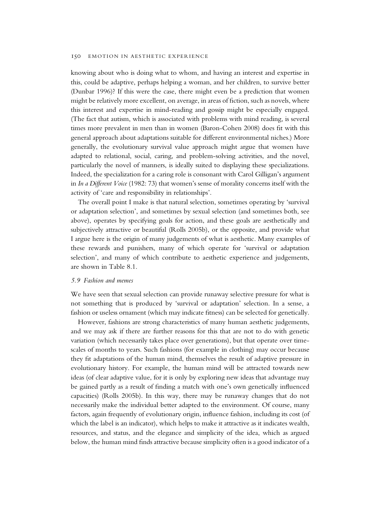knowing about who is doing what to whom, and having an interest and expertise in this, could be adaptive, perhaps helping a woman, and her children, to survive better (Dunbar 1996)? If this were the case, there might even be a prediction that women might be relatively more excellent, on average, in areas of fiction, such as novels, where this interest and expertise in mind-reading and gossip might be especially engaged. (The fact that autism, which is associated with problems with mind reading, is several times more prevalent in men than in women (Baron-Cohen 2008) does fit with this general approach about adaptations suitable for different environmental niches.) More generally, the evolutionary survival value approach might argue that women have adapted to relational, social, caring, and problem-solving activities, and the novel, particularly the novel of manners, is ideally suited to displaying these specializations. Indeed, the specialization for a caring role is consonant with Carol Gilligan's argument in In a Different Voice (1982: 73) that women's sense of morality concerns itself with the activity of 'care and responsibility in relationships'.

The overall point I make is that natural selection, sometimes operating by 'survival or adaptation selection', and sometimes by sexual selection (and sometimes both, see above), operates by specifying goals for action, and these goals are aesthetically and subjectively attractive or beautiful (Rolls 2005b), or the opposite, and provide what I argue here is the origin of many judgements of what is aesthetic. Many examples of these rewards and punishers, many of which operate for 'survival or adaptation selection', and many of which contribute to aesthetic experience and judgements, are shown in Table 8.1.

## 5.9 Fashion and memes

We have seen that sexual selection can provide runaway selective pressure for what is not something that is produced by 'survival or adaptation' selection. In a sense, a fashion or useless ornament (which may indicate fitness) can be selected for genetically.

However, fashions are strong characteristics of many human aesthetic judgements, and we may ask if there are further reasons for this that are not to do with genetic variation (which necessarily takes place over generations), but that operate over timescales of months to years. Such fashions (for example in clothing) may occur because they fit adaptations of the human mind, themselves the result of adaptive pressure in evolutionary history. For example, the human mind will be attracted towards new ideas (of clear adaptive value, for it is only by exploring new ideas that advantage may be gained partly as a result of finding a match with one's own genetically influenced capacities) (Rolls 2005b). In this way, there may be runaway changes that do not necessarily make the individual better adapted to the environment. Of course, many factors, again frequently of evolutionary origin, influence fashion, including its cost (of which the label is an indicator), which helps to make it attractive as it indicates wealth, resources, and status, and the elegance and simplicity of the idea, which as argued below, the human mind finds attractive because simplicity often is a good indicator of a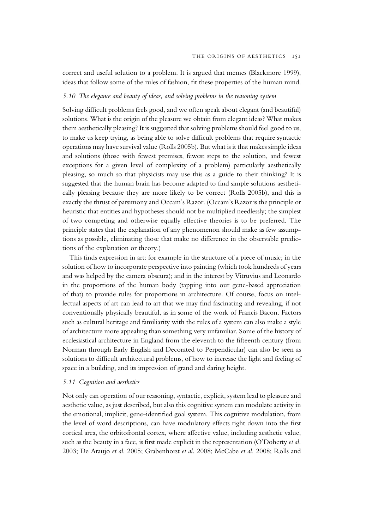correct and useful solution to a problem. It is argued that memes (Blackmore 1999), ideas that follow some of the rules of fashion, fit these properties of the human mind.

## 5.10 The elegance and beauty of ideas, and solving problems in the reasoning system

Solving difficult problems feels good, and we often speak about elegant (and beautiful) solutions. What is the origin of the pleasure we obtain from elegant ideas? What makes them aesthetically pleasing? It is suggested that solving problems should feel good to us, to make us keep trying, as being able to solve difficult problems that require syntactic operations may have survival value (Rolls 2005b). But what is it that makes simple ideas and solutions (those with fewest premises, fewest steps to the solution, and fewest exceptions for a given level of complexity of a problem) particularly aesthetically pleasing, so much so that physicists may use this as a guide to their thinking? It is suggested that the human brain has become adapted to find simple solutions aesthetically pleasing because they are more likely to be correct (Rolls 2005b), and this is exactly the thrust of parsimony and Occam's Razor. (Occam's Razor is the principle or heuristic that entities and hypotheses should not be multiplied needlessly; the simplest of two competing and otherwise equally effective theories is to be preferred. The principle states that the explanation of any phenomenon should make as few assumptions as possible, eliminating those that make no difference in the observable predictions of the explanation or theory.)

This finds expression in art: for example in the structure of a piece of music; in the solution of how to incorporate perspective into painting (which took hundreds of years and was helped by the camera obscura); and in the interest by Vitruvius and Leonardo in the proportions of the human body (tapping into our gene-based appreciation of that) to provide rules for proportions in architecture. Of course, focus on intellectual aspects of art can lead to art that we may find fascinating and revealing, if not conventionally physically beautiful, as in some of the work of Francis Bacon. Factors such as cultural heritage and familiarity with the rules of a system can also make a style of architecture more appealing than something very unfamiliar. Some of the history of ecclesiastical architecture in England from the eleventh to the fifteenth century (from Norman through Early English and Decorated to Perpendicular) can also be seen as solutions to difficult architectural problems, of how to increase the light and feeling of space in a building, and its impression of grand and daring height.

## 5.11 Cognition and aesthetics

Not only can operation of our reasoning, syntactic, explicit, system lead to pleasure and aesthetic value, as just described, but also this cognitive system can modulate activity in the emotional, implicit, gene-identified goal system. This cognitive modulation, from the level of word descriptions, can have modulatory effects right down into the first cortical area, the orbitofrontal cortex, where affective value, including aesthetic value, such as the beauty in a face, is first made explicit in the representation (O'Doherty et al. 2003; De Araujo et al. 2005; Grabenhorst et al. 2008; McCabe et al. 2008; Rolls and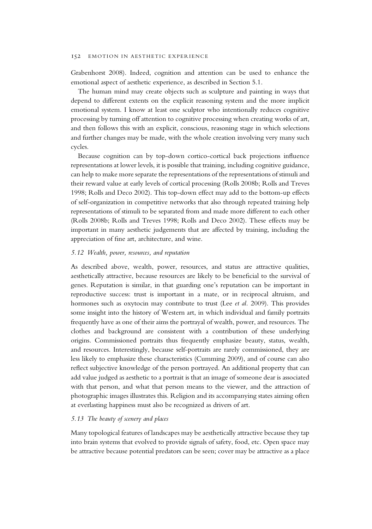Grabenhorst 2008). Indeed, cognition and attention can be used to enhance the emotional aspect of aesthetic experience, as described in Section 5.1.

The human mind may create objects such as sculpture and painting in ways that depend to different extents on the explicit reasoning system and the more implicit emotional system. I know at least one sculptor who intentionally reduces cognitive processing by turning off attention to cognitive processing when creating works of art, and then follows this with an explicit, conscious, reasoning stage in which selections and further changes may be made, with the whole creation involving very many such cycles.

Because cognition can by top-down cortico-cortical back projections influence representations at lower levels, it is possible that training, including cognitive guidance, can help to make more separate the representations of the representations of stimuli and their reward value at early levels of cortical processing (Rolls 2008b; Rolls and Treves 1998; Rolls and Deco 2002). This top-down effect may add to the bottom-up effects of self-organization in competitive networks that also through repeated training help representations of stimuli to be separated from and made more different to each other (Rolls 2008b; Rolls and Treves 1998; Rolls and Deco 2002). These effects may be important in many aesthetic judgements that are affected by training, including the appreciation of fine art, architecture, and wine.

#### 5.12 Wealth, power, resources, and reputation

As described above, wealth, power, resources, and status are attractive qualities, aesthetically attractive, because resources are likely to be beneficial to the survival of genes. Reputation is similar, in that guarding one's reputation can be important in reproductive success: trust is important in a mate, or in reciprocal altruism, and hormones such as oxytocin may contribute to trust (Lee *et al.* 2009). This provides some insight into the history of Western art, in which individual and family portraits frequently have as one of their aims the portrayal of wealth, power, and resources. The clothes and background are consistent with a contribution of these underlying origins. Commissioned portraits thus frequently emphasize beauty, status, wealth, and resources. Interestingly, because self-portraits are rarely commissioned, they are less likely to emphasize these characteristics (Cumming 2009), and of course can also reflect subjective knowledge of the person portrayed. An additional property that can add value judged as aesthetic to a portrait is that an image of someone dear is associated with that person, and what that person means to the viewer, and the attraction of photographic images illustrates this. Religion and its accompanying states aiming often at everlasting happiness must also be recognized as drivers of art.

## 5.13 The beauty of scenery and places

Many topological features of landscapes may be aesthetically attractive because they tap into brain systems that evolved to provide signals of safety, food, etc. Open space may be attractive because potential predators can be seen; cover may be attractive as a place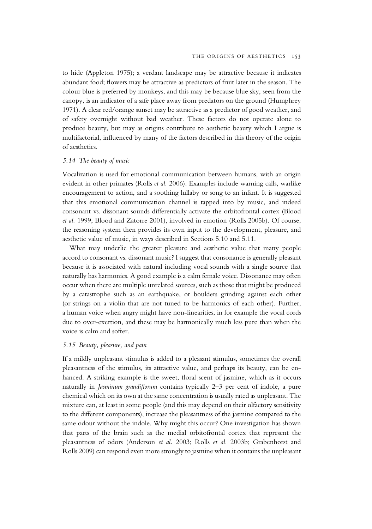to hide (Appleton 1975); a verdant landscape may be attractive because it indicates abundant food; flowers may be attractive as predictors of fruit later in the season. The colour blue is preferred by monkeys, and this may be because blue sky, seen from the canopy, is an indicator of a safe place away from predators on the ground (Humphrey 1971). A clear red/orange sunset may be attractive as a predictor of good weather, and of safety overnight without bad weather. These factors do not operate alone to produce beauty, but may as origins contribute to aesthetic beauty which I argue is multifactorial, influenced by many of the factors described in this theory of the origin of aesthetics.

## 5.14 The beauty of music

Vocalization is used for emotional communication between humans, with an origin evident in other primates (Rolls et al. 2006). Examples include warning calls, warlike encouragement to action, and a soothing lullaby or song to an infant. It is suggested that this emotional communication channel is tapped into by music, and indeed consonant vs. dissonant sounds differentially activate the orbitofrontal cortex (Blood et al. 1999; Blood and Zatorre 2001), involved in emotion (Rolls 2005b). Of course, the reasoning system then provides its own input to the development, pleasure, and aesthetic value of music, in ways described in Sections 5.10 and 5.11.

What may underlie the greater pleasure and aesthetic value that many people accord to consonant vs. dissonant music? I suggest that consonance is generally pleasant because it is associated with natural including vocal sounds with a single source that naturally has harmonics. A good example is a calm female voice. Dissonance may often occur when there are multiple unrelated sources, such as those that might be produced by a catastrophe such as an earthquake, or boulders grinding against each other (or strings on a violin that are not tuned to be harmonics of each other). Further, a human voice when angry might have non-linearities, in for example the vocal cords due to over-exertion, and these may be harmonically much less pure than when the voice is calm and softer.

## 5.15 Beauty, pleasure, and pain

If a mildly unpleasant stimulus is added to a pleasant stimulus, sometimes the overall pleasantness of the stimulus, its attractive value, and perhaps its beauty, can be enhanced. A striking example is the sweet, floral scent of jasmine, which as it occurs naturally in Jasminum grandiflorum contains typically 2–3 per cent of indole, a pure chemical which on its own at the same concentration is usually rated as unpleasant. The mixture can, at least in some people (and this may depend on their olfactory sensitivity to the different components), increase the pleasantness of the jasmine compared to the same odour without the indole. Why might this occur? One investigation has shown that parts of the brain such as the medial orbitofrontal cortex that represent the pleasantness of odors (Anderson et al. 2003; Rolls et al. 2003b; Grabenhorst and Rolls 2009) can respond even more strongly to jasmine when it contains the unpleasant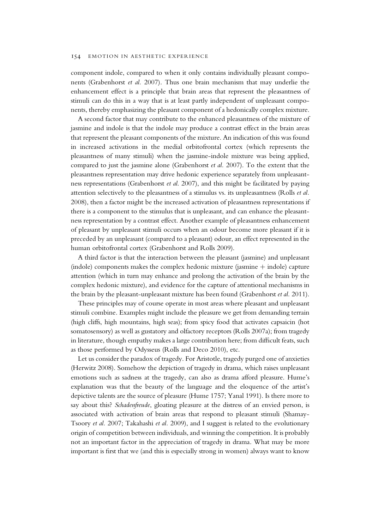component indole, compared to when it only contains individually pleasant components (Grabenhorst et al. 2007). Thus one brain mechanism that may underlie the enhancement effect is a principle that brain areas that represent the pleasantness of stimuli can do this in a way that is at least partly independent of unpleasant components, thereby emphasizing the pleasant component of a hedonically complex mixture.

A second factor that may contribute to the enhanced pleasantness of the mixture of jasmine and indole is that the indole may produce a contrast effect in the brain areas that represent the pleasant components of the mixture. An indication of this was found in increased activations in the medial orbitofrontal cortex (which represents the pleasantness of many stimuli) when the jasmine-indole mixture was being applied, compared to just the jasmine alone (Grabenhorst et al. 2007). To the extent that the pleasantness representation may drive hedonic experience separately from unpleasantness representations (Grabenhorst et al. 2007), and this might be facilitated by paying attention selectively to the pleasantness of a stimulus vs. its unpleasantness (Rolls et al. 2008), then a factor might be the increased activation of pleasantness representations if there is a component to the stimulus that is unpleasant, and can enhance the pleasantness representation by a contrast effect. Another example of pleasantness enhancement of pleasant by unpleasant stimuli occurs when an odour become more pleasant if it is preceded by an unpleasant (compared to a pleasant) odour, an effect represented in the human orbitofrontal cortex (Grabenhorst and Rolls 2009).

A third factor is that the interaction between the pleasant (jasmine) and unpleasant (indole) components makes the complex hedonic mixture (jasmine  $+$  indole) capture attention (which in turn may enhance and prolong the activation of the brain by the complex hedonic mixture), and evidence for the capture of attentional mechanisms in the brain by the pleasant-unpleasant mixture has been found (Grabenhorst et al. 2011).

These principles may of course operate in most areas where pleasant and unpleasant stimuli combine. Examples might include the pleasure we get from demanding terrain (high cliffs, high mountains, high seas); from spicy food that activates capsaicin (hot somatosensory) as well as gustatory and olfactory receptors (Rolls 2007a); from tragedy in literature, though empathy makes a large contribution here; from difficult feats, such as those performed by Odysseus (Rolls and Deco 2010), etc.

Let us consider the paradox of tragedy. For Aristotle, tragedy purged one of anxieties (Herwitz 2008). Somehow the depiction of tragedy in drama, which raises unpleasant emotions such as sadness at the tragedy, can also as drama afford pleasure. Hume's explanation was that the beauty of the language and the eloquence of the artist's depictive talents are the source of pleasure (Hume 1757; Yanal 1991). Is there more to say about this? Schadenfreude, gloating pleasure at the distress of an envied person, is associated with activation of brain areas that respond to pleasant stimuli (Shamay-Tsoory et al. 2007; Takahashi et al. 2009), and I suggest is related to the evolutionary origin of competition between individuals, and winning the competition. It is probably not an important factor in the appreciation of tragedy in drama. What may be more important is first that we (and this is especially strong in women) always want to know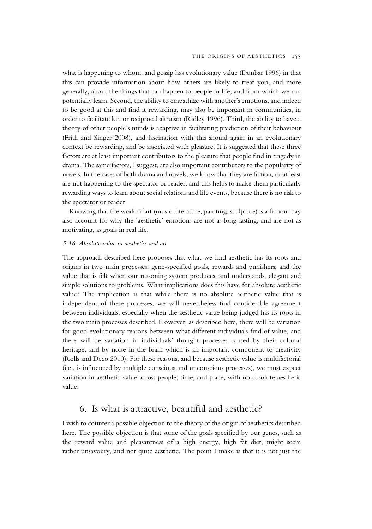what is happening to whom, and gossip has evolutionary value (Dunbar 1996) in that this can provide information about how others are likely to treat you, and more generally, about the things that can happen to people in life, and from which we can potentially learn. Second, the ability to empathize with another's emotions, and indeed to be good at this and find it rewarding, may also be important in communities, in order to facilitate kin or reciprocal altruism (Ridley 1996). Third, the ability to have a theory of other people's minds is adaptive in facilitating prediction of their behaviour (Frith and Singer 2008), and fascination with this should again in an evolutionary context be rewarding, and be associated with pleasure. It is suggested that these three factors are at least important contributors to the pleasure that people find in tragedy in drama. The same factors, I suggest, are also important contributors to the popularity of novels. In the cases of both drama and novels, we know that they are fiction, or at least are not happening to the spectator or reader, and this helps to make them particularly rewarding ways to learn about social relations and life events, because there is no risk to the spectator or reader.

Knowing that the work of art (music, literature, painting, sculpture) is a fiction may also account for why the 'aesthetic' emotions are not as long-lasting, and are not as motivating, as goals in real life.

## 5.16 Absolute value in aesthetics and art

The approach described here proposes that what we find aesthetic has its roots and origins in two main processes: gene-specified goals, rewards and punishers; and the value that is felt when our reasoning system produces, and understands, elegant and simple solutions to problems. What implications does this have for absolute aesthetic value? The implication is that while there is no absolute aesthetic value that is independent of these processes, we will nevertheless find considerable agreement between individuals, especially when the aesthetic value being judged has its roots in the two main processes described. However, as described here, there will be variation for good evolutionary reasons between what different individuals find of value, and there will be variation in individuals' thought processes caused by their cultural heritage, and by noise in the brain which is an important component to creativity (Rolls and Deco 2010). For these reasons, and because aesthetic value is multifactorial (i.e., is influenced by multiple conscious and unconscious processes), we must expect variation in aesthetic value across people, time, and place, with no absolute aesthetic value.

# 6. Is what is attractive, beautiful and aesthetic?

I wish to counter a possible objection to the theory of the origin of aesthetics described here. The possible objection is that some of the goals specified by our genes, such as the reward value and pleasantness of a high energy, high fat diet, might seem rather unsavoury, and not quite aesthetic. The point I make is that it is not just the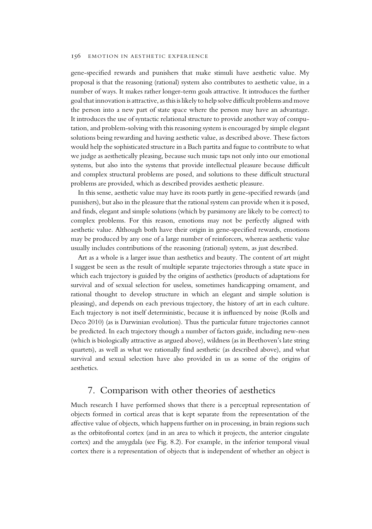gene-specified rewards and punishers that make stimuli have aesthetic value. My proposal is that the reasoning (rational) system also contributes to aesthetic value, in a number of ways. It makes rather longer-term goals attractive. It introduces the further goal that innovation is attractive, as this is likely to help solve difficult problems and move the person into a new part of state space where the person may have an advantage. It introduces the use of syntactic relational structure to provide another way of computation, and problem-solving with this reasoning system is encouraged by simple elegant solutions being rewarding and having aesthetic value, as described above. These factors would help the sophisticated structure in a Bach partita and fugue to contribute to what we judge as aesthetically pleasing, because such music taps not only into our emotional systems, but also into the systems that provide intellectual pleasure because difficult and complex structural problems are posed, and solutions to these difficult structural problems are provided, which as described provides aesthetic pleasure.

In this sense, aesthetic value may have its roots partly in gene-specified rewards (and punishers), but also in the pleasure that the rational system can provide when it is posed, and finds, elegant and simple solutions (which by parsimony are likely to be correct) to complex problems. For this reason, emotions may not be perfectly aligned with aesthetic value. Although both have their origin in gene-specified rewards, emotions may be produced by any one of a large number of reinforcers, whereas aesthetic value usually includes contributions of the reasoning (rational) system, as just described.

Art as a whole is a larger issue than aesthetics and beauty. The content of art might I suggest be seen as the result of multiple separate trajectories through a state space in which each trajectory is guided by the origins of aesthetics (products of adaptations for survival and of sexual selection for useless, sometimes handicapping ornament, and rational thought to develop structure in which an elegant and simple solution is pleasing), and depends on each previous trajectory, the history of art in each culture. Each trajectory is not itself deterministic, because it is influenced by noise (Rolls and Deco 2010) (as is Darwinian evolution). Thus the particular future trajectories cannot be predicted. In each trajectory though a number of factors guide, including new-ness (which is biologically attractive as argued above), wildness (as in Beethoven's late string quartets), as well as what we rationally find aesthetic (as described above), and what survival and sexual selection have also provided in us as some of the origins of aesthetics.

# 7. Comparison with other theories of aesthetics

Much research I have performed shows that there is a perceptual representation of objects formed in cortical areas that is kept separate from the representation of the affective value of objects, which happens further on in processing, in brain regions such as the orbitofrontal cortex (and in an area to which it projects, the anterior cingulate cortex) and the amygdala (see Fig. 8.2). For example, in the inferior temporal visual cortex there is a representation of objects that is independent of whether an object is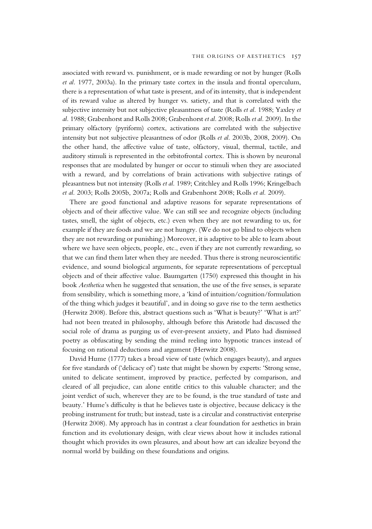associated with reward vs. punishment, or is made rewarding or not by hunger (Rolls et al. 1977, 2003a). In the primary taste cortex in the insula and frontal operculum, there is a representation of what taste is present, and of its intensity, that is independent of its reward value as altered by hunger vs. satiety, and that is correlated with the subjective intensity but not subjective pleasantness of taste (Rolls et al. 1988; Yaxley et al. 1988; Grabenhorst and Rolls 2008; Grabenhorst et al. 2008; Rolls et al. 2009). In the primary olfactory (pyriform) cortex, activations are correlated with the subjective intensity but not subjective pleasantness of odor (Rolls et al. 2003b, 2008, 2009). On the other hand, the affective value of taste, olfactory, visual, thermal, tactile, and auditory stimuli is represented in the orbitofrontal cortex. This is shown by neuronal responses that are modulated by hunger or occur to stimuli when they are associated with a reward, and by correlations of brain activations with subjective ratings of pleasantness but not intensity (Rolls et al. 1989; Critchley and Rolls 1996; Kringelbach et al. 2003; Rolls 2005b, 2007a; Rolls and Grabenhorst 2008; Rolls et al. 2009).

There are good functional and adaptive reasons for separate representations of objects and of their affective value. We can still see and recognize objects (including tastes, smell, the sight of objects, etc.) even when they are not rewarding to us, for example if they are foods and we are not hungry. (We do not go blind to objects when they are not rewarding or punishing.) Moreover, it is adaptive to be able to learn about where we have seen objects, people, etc., even if they are not currently rewarding, so that we can find them later when they are needed. Thus there is strong neuroscientific evidence, and sound biological arguments, for separate representations of perceptual objects and of their affective value. Baumgarten (1750) expressed this thought in his book Aesthetica when he suggested that sensation, the use of the five senses, is separate from sensibility, which is something more, a 'kind of intuition/cognition/formulation of the thing which judges it beautiful', and in doing so gave rise to the term aesthetics (Herwitz 2008). Before this, abstract questions such as 'What is beauty?' 'What is art?' had not been treated in philosophy, although before this Aristotle had discussed the social role of drama as purging us of ever-present anxiety, and Plato had dismissed poetry as obfuscating by sending the mind reeling into hypnotic trances instead of focusing on rational deductions and argument (Herwitz 2008).

David Hume (1777) takes a broad view of taste (which engages beauty), and argues for five standards of ('delicacy of') taste that might be shown by experts: 'Strong sense, united to delicate sentiment, improved by practice, perfected by comparison, and cleared of all prejudice, can alone entitle critics to this valuable character; and the joint verdict of such, wherever they are to be found, is the true standard of taste and beauty.' Hume's difficulty is that he believes taste is objective, because delicacy is the probing instrument for truth; but instead, taste is a circular and constructivist enterprise (Herwitz 2008). My approach has in contrast a clear foundation for aesthetics in brain function and its evolutionary design, with clear views about how it includes rational thought which provides its own pleasures, and about how art can idealize beyond the normal world by building on these foundations and origins.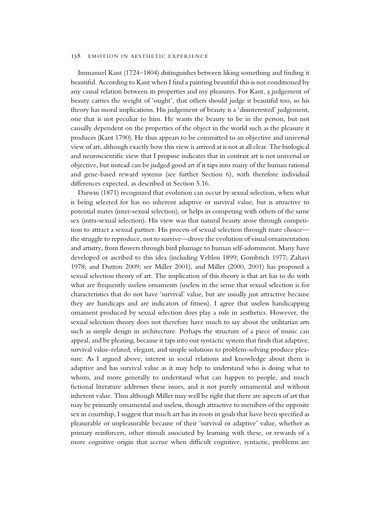Immanuel Kant (1724–1804) distinguishes between liking something and finding it beautiful. According to Kant when I find a painting beautiful this is not conditioned by any causal relation between its properties and my pleasures. For Kant, a judgement of beauty carries the weight of 'ought', that others should judge it beautiful too, so his theory has moral implications. His judgement of beauty is a 'disinterested' judgement, one that is not peculiar to him. He wants the beauty to be in the person, but not causally dependent on the properties of the object in the world such as the pleasure it produces (Kant 1790). He thus appears to be committed to an objective and universal view of art, although exactly how this view is arrived at is not at all clear. The biological and neuroscientific view that I propose indicates that in contrast art is not universal or objective, but instead can be judged good art if it taps into many of the human rational and gene-based reward systems (see further Section 6), with therefore individual differences expected, as described in Section 5.16.

Darwin (1871) recognized that evolution can occur by sexual selection, when what is being selected for has no inherent adaptive or survival value, but is attractive to potential mates (inter-sexual selection), or helps in competing with others of the same sex (intra-sexual selection). His view was that natural beauty arose through competition to attract a sexual partner. His process of sexual selection through mate choice the struggle to reproduce, not to survive—drove the evolution of visual ornamentation and artistry, from flowers through bird plumage to human self-adornment. Many have developed or ascribed to this idea (including Veblen 1899; Gombrich 1977; Zahavi 1978; and Dutton 2009; see Miller 2001), and Miller (2000, 2001) has proposed a sexual selection theory of art. The implication of this theory is that art has to do with what are frequently useless ornaments (useless in the sense that sexual selection is for characteristics that do not have 'survival' value, but are usually just attractive because they are handicaps and are indicators of fitness). I agree that useless handicapping ornament produced by sexual selection does play a role in aesthetics. However, the sexual selection theory does not therefore have much to say about the utilitarian arts such as simple design in architecture. Perhaps the structure of a piece of music can appeal, and be pleasing, because it taps into our syntactic system that finds that adaptive, survival value-related, elegant, and simple solutions to problem-solving produce pleasure. As I argued above, interest in social relations and knowledge about them is adaptive and has survival value as it may help to understand who is doing what to whom, and more generally to understand what can happen to people, and much fictional literature addresses these issues, and is not purely ornamental and without inherent value. Thus although Miller may well be right that there are aspects of art that may be primarily ornamental and useless, though attractive to members of the opposite sex in courtship, I suggest that much art has its roots in goals that have been specified as pleasurable or unpleasurable because of their 'survival or adaptive' value, whether as primary reinforcers, other stimuli associated by learning with these, or rewards of a more cognitive origin that accrue when difficult cognitive, syntactic, problems are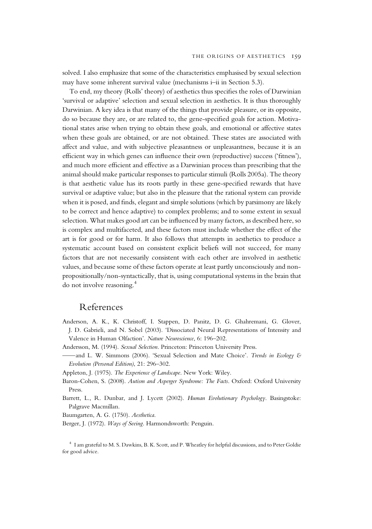solved. I also emphasize that some of the characteristics emphasised by sexual selection may have some inherent survival value (mechanisms i–ii in Section 5.3).

To end, my theory (Rolls' theory) of aesthetics thus specifies the roles of Darwinian 'survival or adaptive' selection and sexual selection in aesthetics. It is thus thoroughly Darwinian. A key idea is that many of the things that provide pleasure, or its opposite, do so because they are, or are related to, the gene-specified goals for action. Motivational states arise when trying to obtain these goals, and emotional or affective states when these goals are obtained, or are not obtained. These states are associated with affect and value, and with subjective pleasantness or unpleasantness, because it is an efficient way in which genes can influence their own (reproductive) success ('fitness'), and much more efficient and effective as a Darwinian process than prescribing that the animal should make particular responses to particular stimuli (Rolls 2005a). The theory is that aesthetic value has its roots partly in these gene-specified rewards that have survival or adaptive value; but also in the pleasure that the rational system can provide when it is posed, and finds, elegant and simple solutions (which by parsimony are likely to be correct and hence adaptive) to complex problems; and to some extent in sexual selection. What makes good art can be influenced by many factors, as described here, so is complex and multifaceted, and these factors must include whether the effect of the art is for good or for harm. It also follows that attempts in aesthetics to produce a systematic account based on consistent explicit beliefs will not succeed, for many factors that are not necessarily consistent with each other are involved in aesthetic values, and because some of these factors operate at least partly unconsciously and nonpropositionally/non-syntactically, that is, using computational systems in the brain that do not involve reasoning.<sup>4</sup>

# References

- Anderson, A. K., K. Christoff, I. Stappen, D. Panitz, D. G. Ghahremani, G. Glover, J. D. Gabrieli, and N. Sobel (2003). 'Dissociated Neural Representations of Intensity and Valence in Human Olfaction'. Nature Neuroscience, 6: 196–202.
- Andersson, M. (1994). Sexual Selection. Princeton: Princeton University Press.
- ——and L. W. Simmons (2006). 'Sexual Selection and Mate Choice'. Trends in Ecology & Evolution (Personal Edition), 21: 296–302.

Appleton, J. (1975). The Experience of Landscape. New York: Wiley.

- Baron-Cohen, S. (2008). Autism and Asperger Syndrome: The Facts. Oxford: Oxford University Press.
- Barrett, L., R. Dunbar, and J. Lycett (2002). Human Evolutionary Psychology. Basingstoke: Palgrave Macmillan.

Baumgarten, A. G. (1750). Aesthetica.

Berger, J. (1972). Ways of Seeing. Harmondsworth: Penguin.

<sup>4</sup> I am grateful to M. S. Dawkins, B. K. Scott, and P. Wheatley for helpful discussions, and to Peter Goldie for good advice.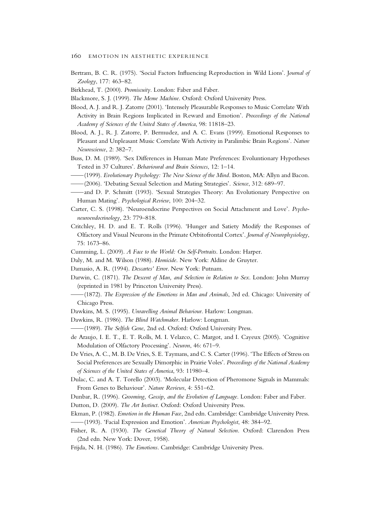- 160 EMOTION IN AESTHETIC EXPERIENCE
- Bertram, B. C. R. (1975). 'Social Factors Influencing Reproduction in Wild Lions'. Journal of Zoology, 177: 463–82.
- Birkhead, T. (2000). Promiscuity. London: Faber and Faber.
- Blackmore, S. J. (1999). The Meme Machine. Oxford: Oxford University Press.
- Blood, A. J. and R. J. Zatorre (2001). 'Intensely Pleasurable Responses to Music Correlate With Activity in Brain Regions Implicated in Reward and Emotion'. Proceedings of the National Academy of Sciences of the United States of America, 98: 11818–23.
- Blood, A. J., R. J. Zatorre, P. Bermudez, and A. C. Evans (1999). Emotional Responses to Pleasant and Unpleasant Music Correlate With Activity in Paralimbic Brain Regions'. Nature Neuroscience, 2: 382–7.
- Buss, D. M. (1989). 'Sex Differences in Human Mate Preferences: Evoluntionary Hypotheses Tested in 37 Cultures'. Behavioural and Brain Sciences, 12: 1–14.
- ——(1999). Evolutionary Psychology: The New Science of the Mind. Boston, MA: Allyn and Bacon.
- ——(2006). 'Debating Sexual Selection and Mating Strategies'. Science, 312: 689–97.
- ——and D. P. Schmitt (1993). 'Sexual Strategies Theory: An Evolutionary Perspective on Human Mating'. Psychological Review, 100: 204–32.
- Carter, C. S. (1998). 'Neuroendocrine Perspectives on Social Attachment and Love'. Psychoneuroendocrinology, 23: 779–818.
- Critchley, H. D. and E. T. Rolls (1996). 'Hunger and Satiety Modify the Responses of Olfactory and Visual Neurons in the Primate Orbitofrontal Cortex'. Journal of Neurophysiology, 75: 1673–86.
- Cumming, L. (2009). A Face to the World: On Self-Portraits. London: Harper.
- Daly, M. and M. Wilson (1988). Homicide. New York: Aldine de Gruyter.
- Damasio, A. R. (1994). Descartes' Error. New York: Putnam.
- Darwin, C. (1871). The Descent of Man, and Selection in Relation to Sex. London: John Murray (reprinted in 1981 by Princeton University Press).
- $-(1872)$ . The Expression of the Emotions in Man and Animals, 3rd ed. Chicago: University of Chicago Press.
- Dawkins, M. S. (1995). Unravelling Animal Behaviour. Harlow: Longman.
- Dawkins, R. (1986). The Blind Watchmaker. Harlow: Longman.
- -(1989). The Selfish Gene, 2nd ed. Oxford: Oxford University Press.
- de Araujo, I. E. T., E. T. Rolls, M. I. Velazco, C. Margot, and I. Cayeux (2005). 'Cognitive Modulation of Olfactory Processing'. Neuron, 46: 671–9.
- De Vries, A. C., M. B. De Vries, S. E. Taymans, and C. S. Carter (1996). 'The Effects of Stress on Social Preferences are Sexually Dimorphic in Prairie Voles'. Proceedings of the National Academy of Sciences of the United States of America, 93: 11980–4.
- Dulac, C. and A. T. Torello (2003). 'Molecular Detection of Pheromone Signals in Mammals: From Genes to Behaviour'. Nature Reviews, 4: 551–62.
- Dunbar, R. (1996). Grooming, Gossip, and the Evolution of Language. London: Faber and Faber.
- Dutton, D. (2009). The Art Instinct. Oxford: Oxford University Press.
- Ekman, P. (1982). Emotion in the Human Face, 2nd edn. Cambridge: Cambridge University Press. ——(1993). 'Facial Expression and Emotion'. American Psychologist, 48: 384–92.
- Fisher, R. A. (1930). The Genetical Theory of Natural Selection. Oxford: Clarendon Press (2nd edn. New York: Dover, 1958).
- Frijda, N. H. (1986). The Emotions. Cambridge: Cambridge University Press.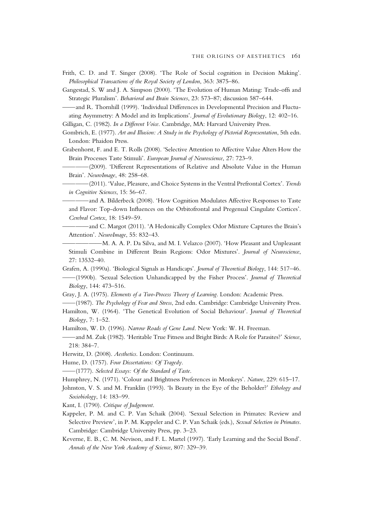Frith, C. D. and T. Singer (2008). 'The Role of Social cognition in Decision Making'. Philosophical Transactions of the Royal Society of London, 363: 3875–86.

Gangestad, S. W and J. A. Simpson (2000). 'The Evolution of Human Mating: Trade-offs and Strategic Pluralism'. Behavioral and Brain Sciences, 23: 573–87; discussion 587–644.

——and R. Thornhill (1999). 'Individual Differences in Developmental Precision and Fluctuating Asymmetry: A Model and its Implications'. Journal of Evolutionary Biology, 12: 402–16.

Gilligan, C. (1982). In a Different Voice. Cambridge, MA: Harvard University Press.

Gombrich, E. (1977). Art and Illusion: A Study in the Psychology of Pictorial Representation, 5th edn. London: Phaidon Press.

Grabenhorst, F. and E. T. Rolls (2008). 'Selective Attention to Affective Value Alters How the Brain Processes Taste Stimuli'. European Journal of Neuroscience, 27: 723–9.

–(2009). 'Different Representations of Relative and Absolute Value in the Human Brain'. NeuroImage, 48: 258–68.

-(2011). 'Value, Pleasure, and Choice Systems in the Ventral Prefrontal Cortex'. Trends in Cognitive Sciences, 15: 56–67.

and A. Bilderbeck (2008). 'How Cognition Modulates Affective Responses to Taste and Flavor: Top-down Influences on the Orbitofrontal and Pregenual Cingulate Cortices'. Cerebral Cortex, 18: 1549–59.

-and C. Margot (2011). 'A Hedonically Complex Odor Mixture Captures the Brain's Attention'. NeuroImage, 55: 832–43.

-M. A. A. P. Da Silva, and M. I. Velazco (2007). 'How Pleasant and Unpleasant Stimuli Combine in Different Brain Regions: Odor Mixtures'. Journal of Neuroscience, 27: 13532–40.

Grafen, A. (1990a). 'Biological Signals as Handicaps'. Journal of Theoretical Biology, 144: 517–46. ——(1990b). 'Sexual Selection Unhandicapped by the Fisher Process'. Journal of Theoretical Biology, 144: 473–516.

Gray, J. A. (1975). Elements of a Two-Process Theory of Learning. London: Academic Press.

——(1987). The Psychology of Fear and Stress, 2nd edn. Cambridge: Cambridge University Press.

Hamilton, W. (1964). 'The Genetical Evolution of Social Behaviour'. Journal of Theoretical Biology, 7: 1–52.

Hamilton, W. D. (1996). Narrow Roads of Gene Land. New York: W. H. Freeman.

-and M. Zuk (1982). 'Heritable True Fitness and Bright Birds: A Role for Parasites?' Science, 218: 384–7.

Herwitz, D. (2008). Aesthetics. London: Continuum.

Hume, D. (1757). Four Dissertations: Of Tragedy.

——(1777). Selected Essays: Of the Standard of Taste.

Johnston, V. S. and M. Franklin (1993). 'Is Beauty in the Eye of the Beholder?' Ethology and Sociobiology, 14: 183–99.

Kant, I. (1790). Critique of Judgement.

- Kappeler, P. M. and C. P. Van Schaik (2004). 'Sexual Selection in Primates: Review and Selective Preview', in P. M. Kappeler and C. P. Van Schaik (eds.), Sexual Selection in Primates. Cambridge: Cambridge University Press, pp. 3–23.
- Keverne, E. B., C. M. Nevison, and F. L. Martel (1997). 'Early Learning and the Social Bond'. Annals of the New York Academy of Science, 807: 329–39.

Humphrey, N. (1971). 'Colour and Brightness Preferences in Monkeys'. Nature, 229: 615–17.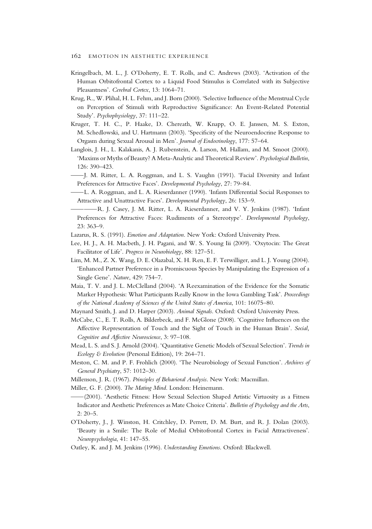- 162 EMOTION IN AESTHETIC EXPERIENCE
- Kringelbach, M. L., J. O'Doherty, E. T. Rolls, and C. Andrews (2003). 'Activation of the Human Orbitofrontal Cortex to a Liquid Food Stimulus is Correlated with its Subjective Pleasantness'. Cerebral Cortex, 13: 1064–71.
- Krug, R., W. Plihal, H. L. Fehm, and J. Born (2000). 'Selective Influence of the Menstrual Cycle on Perception of Stimuli with Reproductive Significance: An Event-Related Potential Study'. Psychophysiology, 37: 111–22.
- Kruger, T. H. C., P. Haake, D. Chereath, W. Knapp, O. E. Janssen, M. S. Exton, M. Schedlowski, and U. Hartmann (2003). 'Specificity of the Neuroendocrine Response to Orgasm during Sexual Arousal in Men'. Journal of Endocrinology, 177: 57–64.
- Langlois, J. H., L. Kalakanis, A. J. Rubenstein, A. Larson, M. Hallam, and M. Smoot (2000). 'Maxims or Myths of Beauty? A Meta-Analytic and Theoretical Review'. Psychological Bulletin, 126: 390–423.
- ——J. M. Ritter, L. A. Roggman, and L. S. Vaughn (1991). 'Facial Diversity and Infant Preferences for Attractive Faces'. Developmental Psychology, 27: 79–84.
- ——L. A. Roggman, and L. A. Rieserdanner (1990). 'Infants Differential Social Responses to Attractive and Unattractive Faces'. Developmental Psychology, 26: 153–9.
- ————R. J. Casey, J. M. Ritter, L. A. Rieserdanner, and V. Y. Jenkins (1987). 'Infant Preferences for Attractive Faces: Rudiments of a Stereotype'. Developmental Psychology, 23: 363–9.
- Lazarus, R. S. (1991). Emotion and Adaptation. New York: Oxford University Press.
- Lee, H. J., A. H. Macbeth, J. H. Pagani, and W. S. Young Iii (2009). 'Oxytocin: The Great Facilitator of Life'. Progress in Neurobiology, 88: 127–51.
- Lim, M. M., Z. X. Wang, D. E. Olazabal, X. H. Ren, E. F. Terwilliger, and L. J. Young (2004). 'Enhanced Partner Preference in a Promiscuous Species by Manipulating the Expression of a Single Gene'. Nature, 429: 754–7.
- Maia, T. V. and J. L. McClelland (2004). 'A Reexamination of the Evidence for the Somatic Marker Hypothesis: What Participants Really Know in the Iowa Gambling Task'. Proceedings of the National Academy of Sciences of the United States of America, 101: 16075–80.
- Maynard Smith, J. and D. Harper (2003). Animal Signals. Oxford: Oxford University Press.
- McCabe, C., E. T. Rolls, A. Bilderbeck, and F. McGlone (2008). 'Cognitive Influences on the Affective Representation of Touch and the Sight of Touch in the Human Brain'. Social, Cognitive and Affective Neuroscience, 3: 97–108.
- Mead, L. S. and S. J. Arnold (2004). 'Quantitative Genetic Models of Sexual Selection'. Trends in Ecology & Evolution (Personal Edition), 19: 264–71.
- Meston, C. M. and P. F. Frohlich (2000). 'The Neurobiology of Sexual Function'. Archives of General Psychiatry, 57: 1012–30.
- Millenson, J. R. (1967). Principles of Behavioral Analysis. New York: Macmillan.
- Miller, G. F. (2000). The Mating Mind. London: Heinemann.
- ——(2001). 'Aesthetic Fitness: How Sexual Selection Shaped Artistic Virtuosity as a Fitness Indicator and Aesthetic Preferences as Mate Choice Criteria'. Bulletin of Psychology and the Arts,  $2: 20 - 5.$
- O'Doherty, J., J. Winston, H. Critchley, D. Perrett, D. M. Burt, and R. J. Dolan (2003). 'Beauty in a Smile: The Role of Medial Orbitofrontal Cortex in Facial Attractiveness'. Neuropsychologia, 41: 147–55.
- Oatley, K. and J. M. Jenkins (1996). Understanding Emotions. Oxford: Blackwell.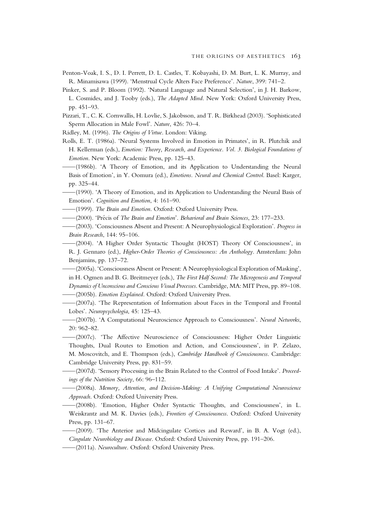- Penton-Voak, I. S., D. I. Perrett, D. L. Castles, T. Kobayashi, D. M. Burt, L. K. Murray, and R. Minamisawa (1999). 'Menstrual Cycle Alters Face Preference'. Nature, 399: 741–2.
- Pinker, S. and P. Bloom (1992). 'Natural Language and Natural Selection', in J. H. Barkow, L. Cosmides, and J. Tooby (eds.), The Adapted Mind. New York: Oxford University Press, pp. 451–93.
- Pizzari, T., C. K. Cornwallis, H. Lovlie, S. Jakobsson, and T. R. Birkhead (2003). 'Sophisticated Sperm Allocation in Male Fowl'. Nature, 426: 70–4.

Ridley, M. (1996). The Origins of Virtue. London: Viking.

- Rolls, E. T. (1986a). 'Neural Systems Involved in Emotion in Primates', in R. Plutchik and H. Kellerman (eds.), Emotion: Theory, Research, and Experience. Vol. 3. Biological Foundations of Emotion. New York: Academic Press, pp. 125–43.
- ——(1986b). 'A Theory of Emotion, and its Application to Understanding the Neural Basis of Emotion', in Y. Oomura (ed.), Emotions. Neural and Chemical Control. Basel: Karger, pp. 325–44.
- ——(1990). 'A Theory of Emotion, and its Application to Understanding the Neural Basis of Emotion'. Cognition and Emotion, 4: 161–90.
- ——(1999). The Brain and Emotion. Oxford: Oxford University Press.
- —(2000). 'Précis of The Brain and Emotion'. Behavioral and Brain Sciences, 23: 177–233.
- ——(2003). 'Consciousness Absent and Present: A Neurophysiological Exploration'. Progress in Brain Research, 144: 95–106.
- ——(2004). 'A Higher Order Syntactic Thought (HOST) Theory Of Consciousness', in R. J. Gennaro (ed.), Higher-Order Theories of Consciousness: An Anthology. Amsterdam: John Benjamins, pp. 137–72.
- ——(2005a). 'Consciousness Absent or Present: A Neurophysiological Exploration of Masking', in H. Ogmen and B. G. Breitmeyer (eds.), The First Half Second: The Microgenesis and Temporal Dynamics of Unconscious and Conscious Visual Processes. Cambridge, MA: MIT Press, pp. 89–108.

——(2005b). Emotion Explained. Oxford: Oxford University Press.

- ——(2007a). 'The Representation of Information about Faces in the Temporal and Frontal Lobes'. Neuropsychologia, 45: 125–43.
- ——(2007b). 'A Computational Neuroscience Approach to Consciousness'. Neural Networks, 20: 962–82.
	- ——(2007c). 'The Affective Neuroscience of Consciousness: Higher Order Linguistic Thoughts, Dual Routes to Emotion and Action, and Consciousness', in P. Zelazo, M. Moscovitch, and E. Thompson (eds.), Cambridge Handbook of Consciousness. Cambridge: Cambridge University Press, pp. 831–59.

-(2007d). 'Sensory Processing in the Brain Related to the Control of Food Intake'. Proceedings of the Nutrition Society, 66: 96–112.

——(2008a). Memory, Attention, and Decision-Making: A Unifying Computational Neuroscience Approach. Oxford: Oxford University Press.

——(2008b). 'Emotion, Higher Order Syntactic Thoughts, and Consciousness', in L. Weiskrantz and M. K. Davies (eds.), Frontiers of Consciousness. Oxford: Oxford University Press, pp. 131–67.

- ——(2009). 'The Anterior and Midcingulate Cortices and Reward', in B. A. Vogt (ed.), Cingulate Neurobiology and Disease. Oxford: Oxford University Press, pp. 191–206.
- ——(2011a). Neuroculture. Oxford: Oxford University Press.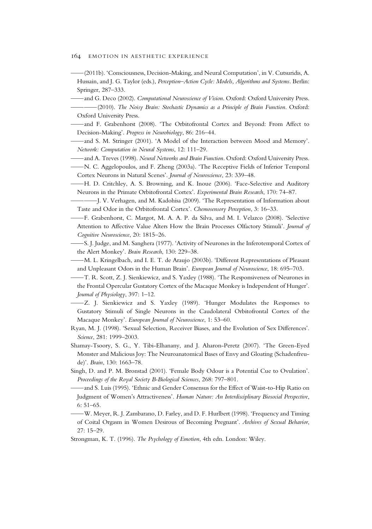- ——(2011b). 'Consciousness, Decision-Making, and Neural Computation', in V. Cutsuridis, A. Hussain, and J. G. Taylor (eds.), Perception–Action Cycle: Models, Algorithms and Systems. Berlin: Springer, 287–333.
	- ——and G. Deco (2002). Computational Neuroscience of Vision. Oxford: Oxford University Press.
- -(2010). The Noisy Brain: Stochastic Dynamics as a Principle of Brain Function. Oxford: Oxford University Press.
- and F. Grabenhorst (2008). 'The Orbitofrontal Cortex and Beyond: From Affect to Decision-Making'. Progress in Neurobiology, 86: 216–44.
- -and S. M. Stringer (2001). 'A Model of the Interaction between Mood and Memory'. Network: Computation in Neural Systems, 12: 111–29.
- ——and A. Treves (1998). Neural Networks and Brain Function. Oxford: Oxford University Press.
- ——N. C. Aggelopoulos, and F. Zheng (2003a). 'The Receptive Fields of Inferior Temporal Cortex Neurons in Natural Scenes'. Journal of Neuroscience, 23: 339–48.
- ——H. D. Critchley, A. S. Browning, and K. Inoue (2006). 'Face-Selective and Auditory Neurons in the Primate Orbitofrontal Cortex'. Experimental Brain Research, 170: 74–87.
- -J. V. Verhagen, and M. Kadohisa (2009). 'The Representation of Information about Taste and Odor in the Orbitofrontal Cortex'. Chemosensory Perception, 3: 16–33.
- ——F. Grabenhorst, C. Margot, M. A. A. P. da Silva, and M. I. Velazco (2008). 'Selective Attention to Affective Value Alters How the Brain Processes Olfactory Stimuli'. Journal of Cognitive Neuroscience, 20: 1815–26.
- ——S. J. Judge, and M. Sanghera (1977). 'Activity of Neurones in the Inferotemporal Cortex of the Alert Monkey'. Brain Research, 130: 229–38.
- ——M. L. Kringelbach, and I. E. T. de Araujo (2003b). 'Different Representations of Pleasant and Unpleasant Odors in the Human Brain'. European Journal of Neuroscience, 18: 695–703.
- ——T. R. Scott, Z. J. Sienkiewicz, and S. Yaxley (1988). 'The Responsiveness of Neurones in the Frontal Opercular Gustatory Cortex of the Macaque Monkey is Independent of Hunger'. Journal of Physiology, 397: 1–12.
- ——Z. J. Sienkiewicz and S. Yaxley (1989). 'Hunger Modulates the Responses to Gustatory Stimuli of Single Neurons in the Caudolateral Orbitofrontal Cortex of the Macaque Monkey'. European Journal of Neuroscience, 1: 53–60.
- Ryan, M. J. (1998). 'Sexual Selection, Receiver Biases, and the Evolution of Sex Differences'. Science, 281: 1999–2003.
- Shamay-Tsoory, S. G., Y. Tibi-Elhanany, and J. Aharon-Peretz (2007). 'The Green-Eyed Monster and Malicious Joy: The Neuroanatomical Bases of Envy and Gloating (Schadenfreude)'. Brain, 130: 1663–78.
- Singh, D. and P. M. Bronstad (2001). 'Female Body Odour is a Potential Cue to Ovulation'. Proceedings of the Royal Society B-Biological Sciences, 268: 797–801.
- ——and S. Luis (1995). 'Ethnic and Gender Consensus for the Effect of Waist-to-Hip Ratio on Judgment of Women's Attractiveness'. Human Nature: An Interdisciplinary Biosocial Perspective, 6: 51–65.
- ——W. Meyer, R. J. Zambarano, D. Farley, and D. F. Hurlbert (1998). 'Frequency and Timing of Coital Orgasm in Women Desirous of Becoming Pregnant'. Archives of Sexual Behavior, 27: 15–29.
- Strongman, K. T. (1996). The Psychology of Emotion, 4th edn. London: Wiley.